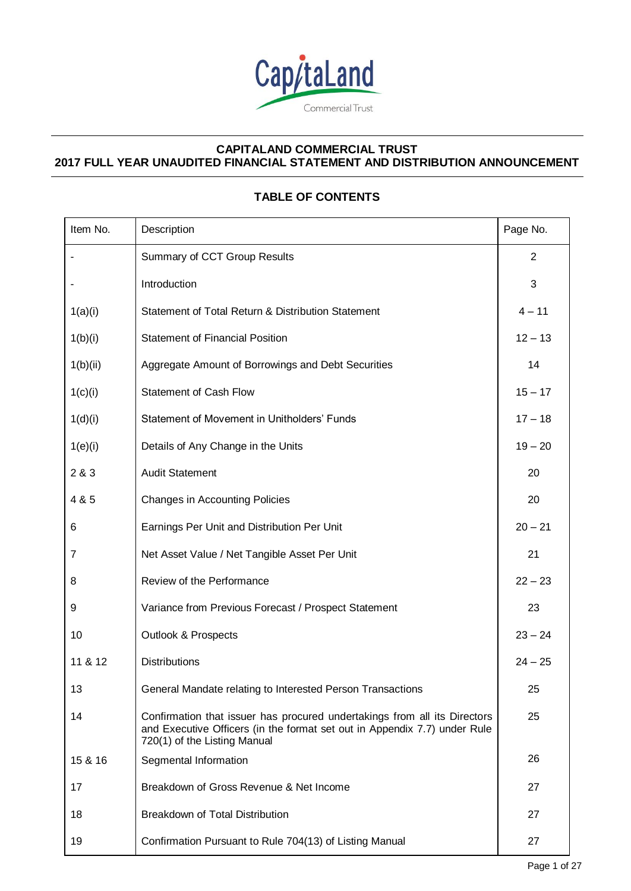

# **TABLE OF CONTENTS**

| Item No. | Description                                                                                                                                                                            | Page No.       |
|----------|----------------------------------------------------------------------------------------------------------------------------------------------------------------------------------------|----------------|
|          | Summary of CCT Group Results                                                                                                                                                           | $\overline{2}$ |
|          | Introduction                                                                                                                                                                           | $\mathbf{3}$   |
| 1(a)(i)  | Statement of Total Return & Distribution Statement                                                                                                                                     | $4 - 11$       |
| 1(b)(i)  | <b>Statement of Financial Position</b>                                                                                                                                                 | $12 - 13$      |
| 1(b)(ii) | Aggregate Amount of Borrowings and Debt Securities                                                                                                                                     | 14             |
| 1(c)(i)  | <b>Statement of Cash Flow</b>                                                                                                                                                          | $15 - 17$      |
| 1(d)(i)  | Statement of Movement in Unitholders' Funds                                                                                                                                            | $17 - 18$      |
| 1(e)(i)  | Details of Any Change in the Units                                                                                                                                                     | $19 - 20$      |
| 2 & 3    | <b>Audit Statement</b>                                                                                                                                                                 | 20             |
| 4 & 5    | <b>Changes in Accounting Policies</b>                                                                                                                                                  | 20             |
| 6        | Earnings Per Unit and Distribution Per Unit                                                                                                                                            | $20 - 21$      |
| 7        | Net Asset Value / Net Tangible Asset Per Unit                                                                                                                                          | 21             |
| 8        | Review of the Performance                                                                                                                                                              | $22 - 23$      |
| 9        | Variance from Previous Forecast / Prospect Statement                                                                                                                                   | 23             |
| 10       | <b>Outlook &amp; Prospects</b>                                                                                                                                                         | $23 - 24$      |
| 11 & 12  | <b>Distributions</b>                                                                                                                                                                   | $24 - 25$      |
| 13       | General Mandate relating to Interested Person Transactions                                                                                                                             | 25             |
| 14       | Confirmation that issuer has procured undertakings from all its Directors<br>and Executive Officers (in the format set out in Appendix 7.7) under Rule<br>720(1) of the Listing Manual | 25             |
| 15 & 16  | Segmental Information                                                                                                                                                                  | 26             |
| 17       | Breakdown of Gross Revenue & Net Income                                                                                                                                                | 27             |
| 18       | Breakdown of Total Distribution                                                                                                                                                        | 27             |
| 19       | Confirmation Pursuant to Rule 704(13) of Listing Manual                                                                                                                                | 27             |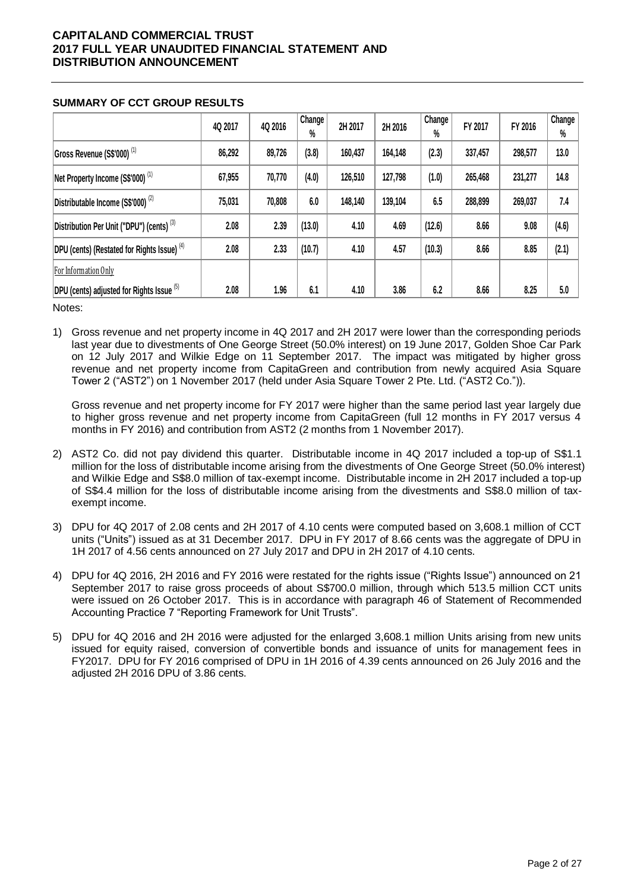|                                                        | 4Q 2017 | 4Q 2016 | Change<br>% | 2H 2017 | 2H 2016 | Change<br>$\%$ | FY 2017 | FY 2016 | Change<br>$\%$ |
|--------------------------------------------------------|---------|---------|-------------|---------|---------|----------------|---------|---------|----------------|
| Gross Revenue (S\$'000) <sup>(1)</sup>                 | 86,292  | 89,726  | (3.8)       | 160,437 | 164,148 | (2.3)          | 337,457 | 298,577 | 13.0           |
| Net Property Income (S\$'000) <sup>(1)</sup>           | 67,955  | 70,770  | (4.0)       | 126,510 | 127,798 | (1.0)          | 265,468 | 231,277 | 14.8           |
| Distributable Income (S\$'000) <sup>(2)</sup>          | 75,031  | 70,808  | 6.0         | 148,140 | 139,104 | 6.5            | 288,899 | 269,037 | 7.4            |
| Distribution Per Unit ("DPU") (cents) <sup>(3)</sup>   | 2.08    | 2.39    | (13.0)      | 4.10    | 4.69    | (12.6)         | 8.66    | 9.08    | (4.6)          |
| DPU (cents) (Restated for Rights Issue) <sup>(4)</sup> | 2.08    | 2.33    | (10.7)      | 4.10    | 4.57    | (10.3)         | 8.66    | 8.85    | (2.1)          |
| For Information Only                                   |         |         |             |         |         |                |         |         |                |
| DPU (cents) adjusted for Rights Issue (5)              | 2.08    | 1.96    | 6.1         | 4.10    | 3.86    | 6.2            | 8.66    | 8.25    | 5.0            |

### **SUMMARY OF CCT GROUP RESULTS**

Notes:

1) Gross revenue and net property income in 4Q 2017 and 2H 2017 were lower than the corresponding periods last year due to divestments of One George Street (50.0% interest) on 19 June 2017, Golden Shoe Car Park on 12 July 2017 and Wilkie Edge on 11 September 2017. The impact was mitigated by higher gross revenue and net property income from CapitaGreen and contribution from newly acquired Asia Square Tower 2 ("AST2") on 1 November 2017 (held under Asia Square Tower 2 Pte. Ltd. ("AST2 Co.")).

Gross revenue and net property income for FY 2017 were higher than the same period last year largely due to higher gross revenue and net property income from CapitaGreen (full 12 months in FY 2017 versus 4 months in FY 2016) and contribution from AST2 (2 months from 1 November 2017).

- 2) AST2 Co. did not pay dividend this quarter. Distributable income in 4Q 2017 included a top-up of S\$1.1 million for the loss of distributable income arising from the divestments of One George Street (50.0% interest) and Wilkie Edge and S\$8.0 million of tax-exempt income. Distributable income in 2H 2017 included a top-up of S\$4.4 million for the loss of distributable income arising from the divestments and S\$8.0 million of taxexempt income.
- 3) DPU for 4Q 2017 of 2.08 cents and 2H 2017 of 4.10 cents were computed based on 3,608.1 million of CCT units ("Units") issued as at 31 December 2017. DPU in FY 2017 of 8.66 cents was the aggregate of DPU in 1H 2017 of 4.56 cents announced on 27 July 2017 and DPU in 2H 2017 of 4.10 cents.
- 4) DPU for 4Q 2016, 2H 2016 and FY 2016 were restated for the rights issue ("Rights Issue") announced on 21 September 2017 to raise gross proceeds of about S\$700.0 million, through which 513.5 million CCT units were issued on 26 October 2017. This is in accordance with paragraph 46 of Statement of Recommended Accounting Practice 7 "Reporting Framework for Unit Trusts".
- 5) DPU for 4Q 2016 and 2H 2016 were adjusted for the enlarged 3,608.1 million Units arising from new units issued for equity raised, conversion of convertible bonds and issuance of units for management fees in FY2017. DPU for FY 2016 comprised of DPU in 1H 2016 of 4.39 cents announced on 26 July 2016 and the adjusted 2H 2016 DPU of 3.86 cents.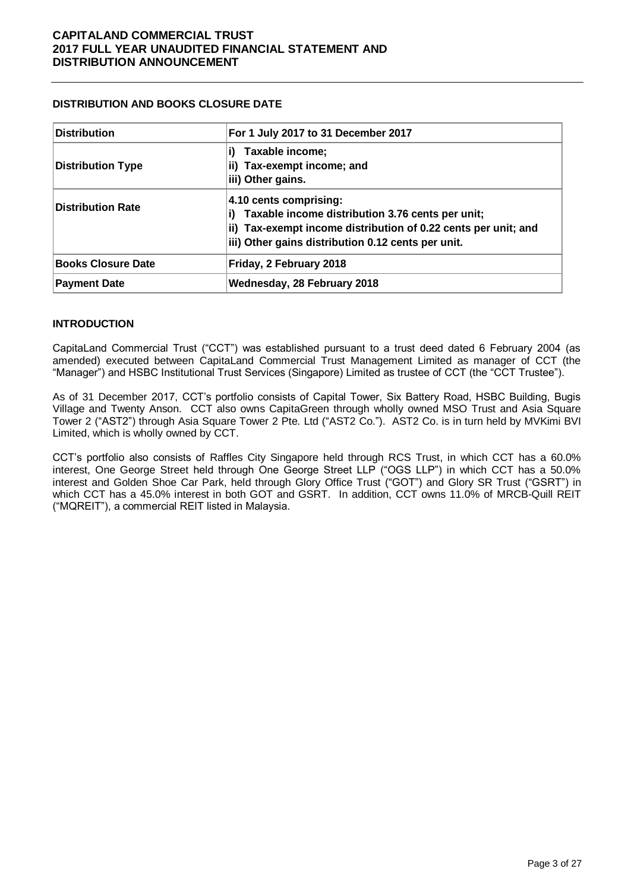### **DISTRIBUTION AND BOOKS CLOSURE DATE**

| <b>Distribution</b>       | For 1 July 2017 to 31 December 2017                                                                                                                                                                      |
|---------------------------|----------------------------------------------------------------------------------------------------------------------------------------------------------------------------------------------------------|
| <b>Distribution Type</b>  | Taxable income;<br>ii) Tax-exempt income; and<br>iii) Other gains.                                                                                                                                       |
| <b>Distribution Rate</b>  | 4.10 cents comprising:<br>Taxable income distribution 3.76 cents per unit;<br>i)<br>ii) Tax-exempt income distribution of 0.22 cents per unit; and<br>iii) Other gains distribution 0.12 cents per unit. |
| <b>Books Closure Date</b> | Friday, 2 February 2018                                                                                                                                                                                  |
| <b>Payment Date</b>       | Wednesday, 28 February 2018                                                                                                                                                                              |

# **INTRODUCTION**

CapitaLand Commercial Trust ("CCT") was established pursuant to a trust deed dated 6 February 2004 (as amended) executed between CapitaLand Commercial Trust Management Limited as manager of CCT (the "Manager") and HSBC Institutional Trust Services (Singapore) Limited as trustee of CCT (the "CCT Trustee").

As of 31 December 2017, CCT's portfolio consists of Capital Tower, Six Battery Road, HSBC Building, Bugis Village and Twenty Anson. CCT also owns CapitaGreen through wholly owned MSO Trust and Asia Square Tower 2 ("AST2") through Asia Square Tower 2 Pte. Ltd ("AST2 Co."). AST2 Co. is in turn held by MVKimi BVI Limited, which is wholly owned by CCT.

CCT's portfolio also consists of Raffles City Singapore held through RCS Trust, in which CCT has a 60.0% interest, One George Street held through One George Street LLP ("OGS LLP") in which CCT has a 50.0% interest and Golden Shoe Car Park, held through Glory Office Trust ("GOT") and Glory SR Trust ("GSRT") in which CCT has a 45.0% interest in both GOT and GSRT. In addition, CCT owns 11.0% of MRCB-Quill REIT ("MQREIT"), a commercial REIT listed in Malaysia.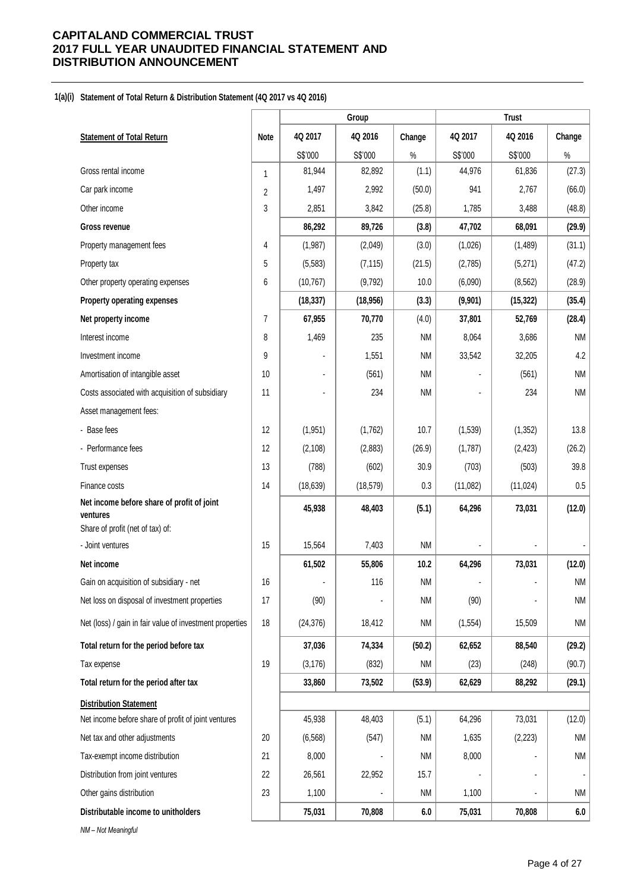#### **1(a)(i) Statement of Total Return & Distribution Statement (4Q 2017 vs 4Q 2016)**

|                                                          |                |                | Group     |                   |          | <b>Trust</b> |                     |
|----------------------------------------------------------|----------------|----------------|-----------|-------------------|----------|--------------|---------------------|
| <b>Statement of Total Return</b>                         | Note           | 4Q 2017        | 4Q 2016   | Change            | 4Q 2017  | 4Q 2016      | Change              |
|                                                          |                | S\$'000        | S\$'000   | $\%$              | S\$'000  | S\$'000      | $\%$                |
| Gross rental income                                      | $\mathbf{1}$   | 81,944         | 82,892    | (1.1)             | 44,976   | 61,836       | (27.3)              |
| Car park income                                          | $\overline{2}$ | 1,497          | 2,992     | (50.0)            | 941      | 2,767        | (66.0)              |
| Other income                                             | 3              | 2,851          | 3,842     | (25.8)            | 1,785    | 3,488        | (48.8)              |
| Gross revenue                                            |                | 86,292         | 89,726    | (3.8)             | 47,702   | 68,091       | (29.9)              |
| Property management fees                                 | 4              | (1,987)        | (2,049)   | (3.0)             | (1,026)  | (1,489)      | (31.1)              |
| Property tax                                             | 5              | (5, 583)       | (7, 115)  | (21.5)            | (2,785)  | (5,271)      | (47.2)              |
| Other property operating expenses                        | 6              | (10, 767)      | (9,792)   | 10.0              | (6,090)  | (8, 562)     | (28.9)              |
| <b>Property operating expenses</b>                       |                | (18, 337)      | (18, 956) | (3.3)             | (9,901)  | (15, 322)    | (35.4)              |
| Net property income                                      | $\overline{7}$ | 67,955         | 70,770    | (4.0)             | 37,801   | 52,769       | (28.4)              |
| Interest income                                          | 8              | 1,469          | 235       | <b>NM</b>         | 8,064    | 3,686        | <b>NM</b>           |
| Investment income                                        | 9              |                | 1,551     | <b>NM</b>         | 33,542   | 32,205       | 4.2                 |
| Amortisation of intangible asset                         | 10             |                | (561)     | <b>NM</b>         |          | (561)        | <b>NM</b>           |
| Costs associated with acquisition of subsidiary          | 11             | $\blacksquare$ | 234       | <b>NM</b>         |          | 234          | <b>NM</b>           |
| Asset management fees:                                   |                |                |           |                   |          |              |                     |
| - Base fees                                              | 12             | (1, 951)       | (1,762)   | 10.7              | (1,539)  | (1, 352)     | 13.8                |
| - Performance fees                                       | 12             | (2, 108)       | (2,883)   | (26.9)            | (1,787)  | (2, 423)     | (26.2)              |
| Trust expenses                                           | 13             | (788)          | (602)     | 30.9              | (703)    | (503)        | 39.8                |
| Finance costs                                            | 14             | (18, 639)      | (18, 579) | 0.3               | (11,082) | (11, 024)    | $0.5\,$             |
| Net income before share of profit of joint<br>ventures   |                | 45,938         | 48,403    | (5.1)             | 64,296   | 73,031       | (12.0)              |
| Share of profit (net of tax) of:<br>- Joint ventures     | 15             | 15,564         | 7,403     | <b>NM</b>         |          |              |                     |
|                                                          |                |                |           |                   |          |              |                     |
| Net income<br>Gain on acquisition of subsidiary - net    | 16             | 61,502         | 55,806    | 10.2<br><b>NM</b> | 64,296   | 73,031       | (12.0)<br><b>NM</b> |
|                                                          |                |                | 116       |                   |          |              |                     |
| Net loss on disposal of investment properties            | 17             | (90)           |           | <b>NM</b>         | (90)     |              | <b>NM</b>           |
| Net (loss) / gain in fair value of investment properties | 18             | (24, 376)      | 18,412    | ΝM                | (1, 554) | 15,509       | <b>NM</b>           |
| Total return for the period before tax                   |                | 37,036         | 74,334    | (50.2)            | 62,652   | 88,540       | (29.2)              |
| Tax expense                                              | 19             | (3, 176)       | (832)     | ΝM                | (23)     | (248)        | (90.7)              |
| Total return for the period after tax                    |                | 33,860         | 73,502    | (53.9)            | 62,629   | 88,292       | (29.1)              |
| <b>Distribution Statement</b>                            |                |                |           |                   |          |              |                     |
| Net income before share of profit of joint ventures      |                | 45,938         | 48,403    | (5.1)             | 64,296   | 73,031       | (12.0)              |
| Net tax and other adjustments                            | 20             | (6, 568)       | (547)     | ΝM                | 1,635    | (2, 223)     | NM                  |
| Tax-exempt income distribution                           | 21             | 8,000          |           | <b>NM</b>         | 8,000    |              | <b>NM</b>           |
| Distribution from joint ventures                         | 22             | 26,561         | 22,952    | 15.7              |          |              |                     |
| Other gains distribution                                 | 23             | 1,100          |           | <b>NM</b>         | 1,100    |              | <b>NM</b>           |
| Distributable income to unitholders                      |                | 75,031         | 70,808    | 6.0               | 75,031   | 70,808       | 6.0                 |
| NM-Not Meaningful                                        |                |                |           |                   |          |              |                     |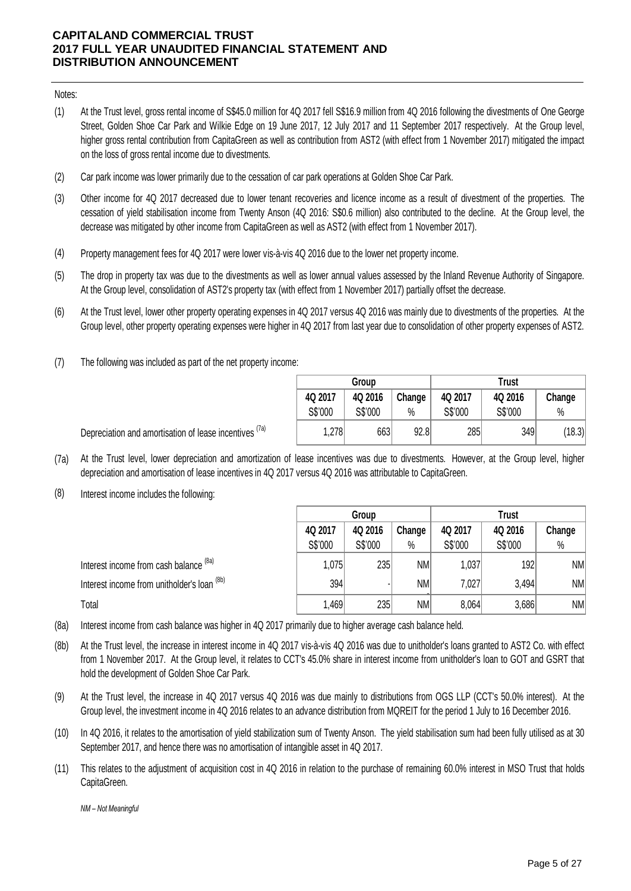#### Notes:

- (1) At the Trust level, gross rental income of S\$45.0 million for 4Q 2017 fell S\$16.9 million from 4Q 2016 following the divestments of One George Street, Golden Shoe Car Park and Wilkie Edge on 19 June 2017, 12 July 2017 and 11 September 2017 respectively. At the Group level, higher gross rental contribution from CapitaGreen as well as contribution from AST2 (with effect from 1 November 2017) mitigated the impact on the loss of gross rental income due to divestments.
- (2) Car park income was lower primarily due to the cessation of car park operations at Golden Shoe Car Park.
- (3) Other income for 4Q 2017 decreased due to lower tenant recoveries and licence income as a result of divestment of the properties. The cessation of yield stabilisation income from Twenty Anson (4Q 2016: S\$0.6 million) also contributed to the decline. At the Group level, the decrease was mitigated by other income from CapitaGreen as well as AST2 (with effect from 1 November 2017).
- (4) Property management fees for 4Q 2017 were lower vis-à-vis 4Q 2016 due to the lower net property income.
- (5) The drop in property tax was due to the divestments as well as lower annual values assessed by the Inland Revenue Authority of Singapore. At the Group level, consolidation of AST2's property tax (with effect from 1 November 2017) partially offset the decrease.
- (6) At the Trust level, lower other property operating expenses in 4Q 2017 versus 4Q 2016 was mainly due to divestments of the properties. At the Group level, other property operating expenses were higher in 4Q 2017 from last year due to consolidation of other property expenses of AST2.
- (7) The following was included as part of the net property income:

Depreciation and amortisation of lease incentives <sup>(7a)</sup>

|         | Group   |        | <b>Trust</b> |         |        |  |  |
|---------|---------|--------|--------------|---------|--------|--|--|
| 4Q 2017 | 4Q 2016 | Change | 4Q 2017      | 4Q 2016 | Change |  |  |
| S\$'000 | S\$'000 | %      | S\$'000      | S\$'000 | $\%$   |  |  |
| 1,278   | 663     | 92.8   | 285          | 349     | (18.3) |  |  |

(7a) At the Trust level, lower depreciation and amortization of lease incentives was due to divestments. However, at the Group level, higher

depreciation and amortisation of lease incentives in 4Q 2017 versus 4Q 2016 was attributable to CapitaGreen.

(8) Interest income includes the following:

|                                             | Group   |         |           | <b>Trust</b> |         |        |  |
|---------------------------------------------|---------|---------|-----------|--------------|---------|--------|--|
|                                             | 4Q 2017 | 4Q 2016 | Change    | 4Q 2017      | 4Q 2016 | Change |  |
|                                             | S\$'000 | S\$'000 | $\%$      | S\$'000      | S\$'000 | $\%$   |  |
| Interest income from cash balance (8a)      | 1,075   | 235     | NM        | 1,037        | 192     | NM     |  |
| Interest income from unitholder's loan (8b) | 394     |         | <b>NM</b> | 7,027        | 3,494   | NM     |  |
| Total                                       | 1,469   | 235     | <b>NM</b> | 8,064        | 3,686   | NM     |  |

(8a) Interest income from cash balance was higher in 4Q 2017 primarily due to higher average cash balance held.

- (8b) At the Trust level, the increase in interest income in 4Q 2017 vis-à-vis 4Q 2016 was due to unitholder's loans granted to AST2 Co. with effect from 1 November 2017. At the Group level, it relates to CCT's 45.0% share in interest income from unitholder's loan to GOT and GSRT that hold the development of Golden Shoe Car Park.
- (9) At the Trust level, the increase in 4Q 2017 versus 4Q 2016 was due mainly to distributions from OGS LLP (CCT's 50.0% interest). At the Group level, the investment income in 4Q 2016 relates to an advance distribution from MQREIT for the period 1 July to 16 December 2016.
- (10) In 4Q 2016, it relates to the amortisation of yield stabilization sum of Twenty Anson. The yield stabilisation sum had been fully utilised as at 30 September 2017, and hence there was no amortisation of intangible asset in 4Q 2017.
- (11) This relates to the adjustment of acquisition cost in 4Q 2016 in relation to the purchase of remaining 60.0% interest in MSO Trust that holds CapitaGreen.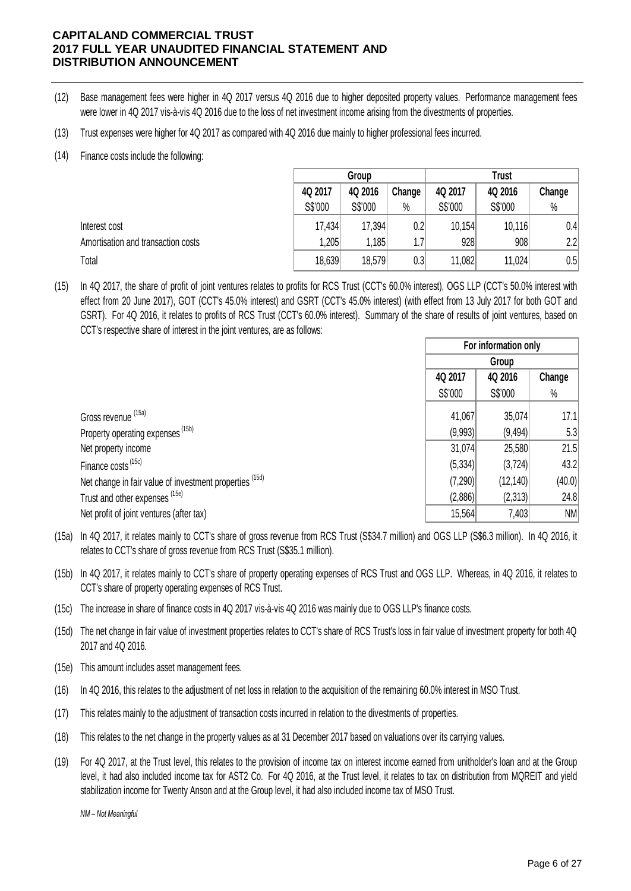- (12) Base management fees were higher in 4Q 2017 versus 4Q 2016 due to higher deposited property values. Performance management fees were lower in 4Q 2017 vis-à-vis 4Q 2016 due to the loss of net investment income arising from the divestments of properties.
- (13) Trust expenses were higher for 4Q 2017 as compared with 4Q 2016 due mainly to higher professional fees incurred.

# (14) Finance costs include the following:

|                                    | Group   |         |        | <b>Trust</b> |         |        |  |
|------------------------------------|---------|---------|--------|--------------|---------|--------|--|
|                                    | 4Q 2017 | 4Q 2016 | Change | 4Q 2017      | 4Q 2016 | Change |  |
|                                    | S\$'000 | S\$'000 | $\%$   | S\$'000      | S\$'000 | %      |  |
| Interest cost                      | 17,434  | 17,394  | 0.2    | 10,154       | 10,116  | 0.4    |  |
| Amortisation and transaction costs | .205    | 1,185   | 1.7    | 928          | 908     | 2.2    |  |
| Total                              | 18,639  | 18,579  | 0.3    | 11,082       | 11,024  | 0.5    |  |

(15) In 4Q 2017, the share of profit of joint ventures relates to profits for RCS Trust (CCT's 60.0% interest), OGS LLP (CCT's 50.0% interest with effect from 20 June 2017), GOT (CCT's 45.0% interest) and GSRT (CCT's 45.0% interest) (with effect from 13 July 2017 for both GOT and GSRT). For 4Q 2016, i t relates to profits of RCS Trust (CCT's 60.0% interest). Summary of the share of results of joint ventures, based on CCT's respective share of interest in the joint ventures, are as follows:

|    |                                                                                                                                                                                                                          |         | For information only |        |
|----|--------------------------------------------------------------------------------------------------------------------------------------------------------------------------------------------------------------------------|---------|----------------------|--------|
|    |                                                                                                                                                                                                                          |         | Group                |        |
|    |                                                                                                                                                                                                                          | 4Q 2017 | 4Q 2016              | Change |
|    |                                                                                                                                                                                                                          | S\$'000 | S\$'000              | %      |
|    | Gross revenue (15a)                                                                                                                                                                                                      | 41,067  | 35,074               | 17.1   |
|    | Property operating expenses <sup>(15b)</sup>                                                                                                                                                                             | (9,993) | (9, 494)             | 5.3    |
|    | Net property income                                                                                                                                                                                                      | 31,074  | 25,580               | 21.5   |
|    | Finance costs <sup>(15c)</sup>                                                                                                                                                                                           | (5,334) | (3, 724)             | 43.2   |
|    | Net change in fair value of investment properties (15d)                                                                                                                                                                  | (7,290) | (12, 140)            | (40.0) |
|    | Trust and other expenses (15e)                                                                                                                                                                                           | (2,886) | (2,313)              | 24.8   |
|    | Net profit of joint ventures (after tax)                                                                                                                                                                                 | 15,564  | 7,403                | NM     |
| a) | In 4Q 2017, it relates mainly to CCT's share of gross revenue from RCS Trust (S\$34.7 million) and OGS LLP (S\$6.3 million). In 4Q 2016, it<br>relates to CCT's share of gross revenue from RCS Trust (S\$35.1 million). |         |                      |        |

- (15a) In 4Q 2017, it relates mainly to CCT's share of gross revenue from RCS Trust (S\$34.7 million) and OGS LLP (S\$6.3 million). In 4Q 2016, it<br>relates to CCT's share of gross revenue from RCS Trust (S\$35.1 million).<br>In 4Q 2017, relates to CCT's share of gross revenue from RCS Trust (S\$35.1 million).
- (15b) CCT's share of property operating expenses of RCS Trust.
- (15c) The increase in share of finance costs in 4Q 2017 vis-à-vis 4Q 2016 was mainly due to OGS LLP's finance costs.
- (15d) The net change in fair value of investment properties relates to CCT's share of RCS Trust's loss in fair value of investment property for both 4Q 2017 and 4Q 2016.
- (15e) This amount includes asset management fees.
- (16) In 4Q 2016, this relates to the adjustment of net loss in relation to the acquisition of the remaining 60.0% interest in MSO Trust.
- (17) This relates mainly to the adjustment of transaction costs incurred in relation to the divestments of properties.
- (18) This relates to the net change in the property values as at 31 December 2017 based on valuations over its carrying values.
- (19) For 4Q 2017, at the Trust level, this relates to the provision of income tax on interest income earned from unitholder's loan and at the Group level, it had also included income tax for AST2 Co. For 4Q 2016, at the Trust level, it relates to tax on distribution from MQREIT and yield stabilization income for Twenty Anson and at the Group level, it had also included income tax of MSO Trust.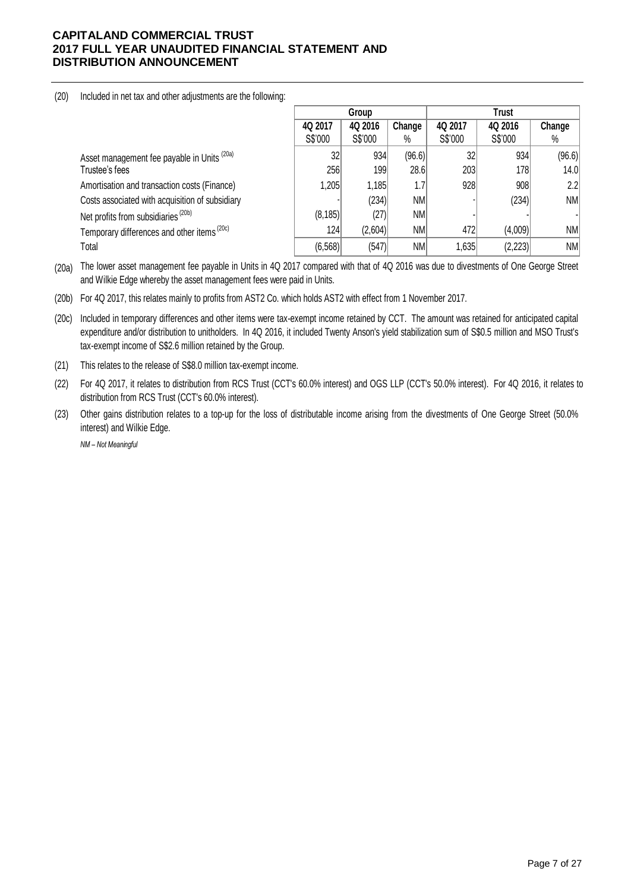(20) Included in net tax and other adjustments are the following:

|                                                        |          | Trust<br>Group |        |         |         |           |
|--------------------------------------------------------|----------|----------------|--------|---------|---------|-----------|
|                                                        | 4Q 2017  | 4Q 2016        | Change | 4Q 2017 | 4Q 2016 | Change    |
|                                                        | S\$'000  | S\$'000        | %      | S\$'000 | S\$'000 | $\%$      |
| Asset management fee payable in Units <sup>(20a)</sup> | 32       | 934            | (96.6) | 32      | 934     | (96.6)    |
| Trustee's fees                                         | 256      | 199            | 28.6   | 203     | 178     | 14.0      |
| Amortisation and transaction costs (Finance)           | 1,205    | 1,185          | 1.7    | 928     | 908     | 2.2       |
| Costs associated with acquisition of subsidiary        |          | (234)          | NM     |         | (234)   | NM        |
| Net profits from subsidiaries <sup>(20b)</sup>         | (8, 185) | (27)           | NM     |         |         |           |
| Temporary differences and other items <sup>(20c)</sup> | 124      | (2,604)        | NM     | 472     | (4,009) | <b>NM</b> |
| Total                                                  | (6, 568) | (547)          | NM     | 1,635   | (2,223) | <b>NM</b> |

(20a) The lower asset management fee payable in Units in 4Q 2017 compared with that of 4Q 2016 was due to divestments of One George Street and Wilkie Edge whereby the asset management fees were paid in Units.

(20b) For 4Q 2017, this relates mainly to profits from AST2 Co. which holds AST2 with effect from 1 November 2017.

(20c) Included in temporary differences and other items were tax-exempt income retained by CCT. The amount was retained for anticipated capital expenditure and/or distribution to unitholders. In 4Q 2016, it included Twenty Anson's yield stabilization sum of S\$0.5 million and MSO Trust's tax-exempt income of S\$2.6 million retained by the Group.

- (21) This relates to the release of S\$8.0 million tax-exempt income.
- (22) For 4Q 2017, it relates to distribution from RCS Trust (CCT's 60.0% interest) and OGS LLP (CCT's 50.0% interest). For 4Q 2016, it relates to distribution from RCS Trust (CCT's 60.0% interest).

(23) Other gains distribution relates to a top-up for the loss of distributable income arising from the divestments of One George Street (50.0% interest) and Wilkie Edge.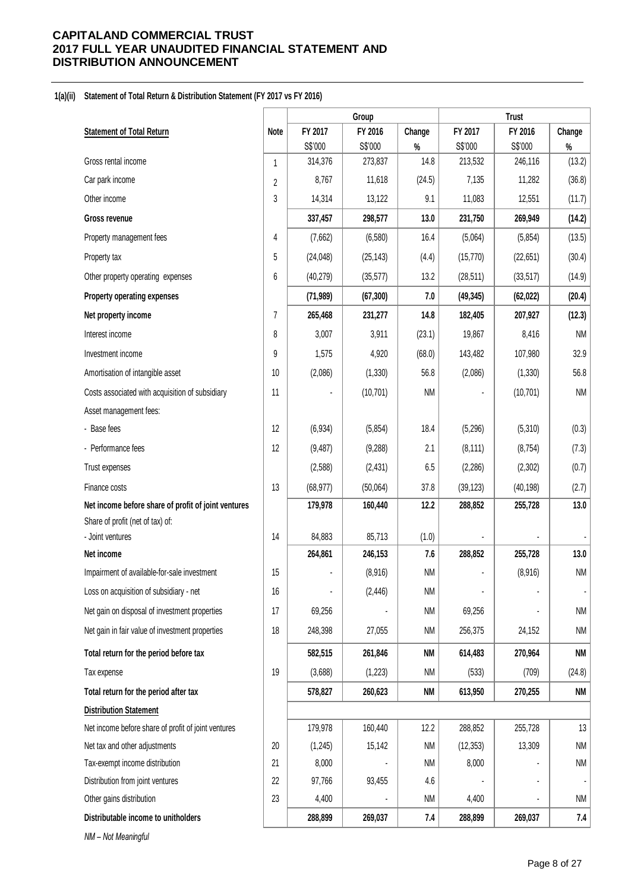#### **1(a)(ii) Statement of Total Return & Distribution Statement (FY 2017 vs FY 2016)**

|                                                     |                |           | Group     |           |                | <b>Trust</b> |                          |
|-----------------------------------------------------|----------------|-----------|-----------|-----------|----------------|--------------|--------------------------|
| <b>Statement of Total Return</b>                    | <b>Note</b>    | FY 2017   | FY 2016   | Change    | FY 2017        | FY 2016      | Change                   |
|                                                     |                | S\$'000   | S\$'000   | $\%$      | S\$'000        | S\$'000      | $\%$                     |
| Gross rental income                                 | 1              | 314,376   | 273,837   | 14.8      | 213,532        | 246,116      | (13.2)                   |
| Car park income                                     | $\overline{2}$ | 8,767     | 11,618    | (24.5)    | 7,135          | 11,282       | (36.8)                   |
| Other income                                        | 3              | 14,314    | 13,122    | 9.1       | 11,083         | 12,551       | (11.7)                   |
| <b>Gross revenue</b>                                |                | 337,457   | 298,577   | 13.0      | 231,750        | 269,949      | (14.2)                   |
| Property management fees                            | 4              | (7,662)   | (6, 580)  | 16.4      | (5,064)        | (5,854)      | (13.5)                   |
| Property tax                                        | 5              | (24, 048) | (25, 143) | (4.4)     | (15, 770)      | (22, 651)    | (30.4)                   |
| Other property operating expenses                   | 6              | (40, 279) | (35, 577) | 13.2      | (28, 511)      | (33, 517)    | (14.9)                   |
| Property operating expenses                         |                | (71, 989) | (67, 300) | 7.0       | (49, 345)      | (62, 022)    | (20.4)                   |
| Net property income                                 | $\overline{7}$ | 265,468   | 231,277   | 14.8      | 182,405        | 207,927      | (12.3)                   |
| Interest income                                     | 8              | 3,007     | 3,911     | (23.1)    | 19,867         | 8,416        | <b>NM</b>                |
| Investment income                                   | 9              | 1,575     | 4,920     | (68.0)    | 143,482        | 107,980      | 32.9                     |
| Amortisation of intangible asset                    | 10             | (2,086)   | (1, 330)  | 56.8      | (2,086)        | (1, 330)     | 56.8                     |
| Costs associated with acquisition of subsidiary     | 11             |           | (10, 701) | <b>NM</b> |                | (10, 701)    | <b>NM</b>                |
| Asset management fees:                              |                |           |           |           |                |              |                          |
| - Base fees                                         | 12             | (6,934)   | (5,854)   | 18.4      | (5,296)        | (5,310)      | (0.3)                    |
| - Performance fees                                  | 12             | (9, 487)  | (9,288)   | 2.1       | (8, 111)       | (8, 754)     | (7.3)                    |
| Trust expenses                                      |                | (2, 588)  | (2, 431)  | 6.5       | (2, 286)       | (2,302)      | (0.7)                    |
| Finance costs                                       | 13             | (68, 977) | (50,064)  | 37.8      | (39, 123)      | (40, 198)    | (2.7)                    |
| Net income before share of profit of joint ventures |                | 179,978   | 160,440   | 12.2      | 288,852        | 255,728      | 13.0                     |
| Share of profit (net of tax) of:                    |                |           |           |           |                |              |                          |
| - Joint ventures                                    | 14             | 84,883    | 85,713    | (1.0)     |                |              |                          |
| Net income                                          |                | 264,861   | 246,153   | 7.6       | 288,852        | 255,728      | 13.0                     |
| Impairment of available-for-sale investment         | 15             |           | (8,916)   | <b>NM</b> |                | (8,916)      | <b>NM</b>                |
| Loss on acquisition of subsidiary - net             | 16             |           | (2, 446)  | <b>NM</b> | $\blacksquare$ |              | $\overline{\phantom{a}}$ |
| Net gain on disposal of investment properties       | 17             | 69,256    |           | <b>NM</b> | 69,256         |              | <b>NM</b>                |
| Net gain in fair value of investment properties     | 18             | 248,398   | 27,055    | ΝM        | 256,375        | 24,152       | <b>NM</b>                |
| Total return for the period before tax              |                | 582,515   | 261,846   | NM        | 614,483        | 270,964      | <b>NM</b>                |
| Tax expense                                         | 19             | (3,688)   | (1, 223)  | ΝM        | (533)          | (709)        | (24.8)                   |
| Total return for the period after tax               |                | 578,827   | 260,623   | <b>NM</b> | 613,950        | 270,255      | <b>NM</b>                |
| <b>Distribution Statement</b>                       |                |           |           |           |                |              |                          |
| Net income before share of profit of joint ventures |                | 179,978   | 160,440   | 12.2      | 288,852        | 255,728      | 13                       |
| Net tax and other adjustments                       | 20             | (1, 245)  | 15,142    | NM        | (12, 353)      | 13,309       | <b>NM</b>                |
| Tax-exempt income distribution                      | 21             | 8,000     |           | ΝM        | 8,000          |              | <b>NM</b>                |
| Distribution from joint ventures                    | 22             | 97,766    | 93,455    | 4.6       |                |              | $\overline{\phantom{a}}$ |
| Other gains distribution                            | 23             | 4,400     |           | ΝM        | 4,400          |              | <b>NM</b>                |
| Distributable income to unitholders                 |                | 288,899   | 269,037   | 7.4       | 288,899        | 269,037      | 7.4                      |
| NM - Not Meaningful                                 |                |           |           |           |                |              |                          |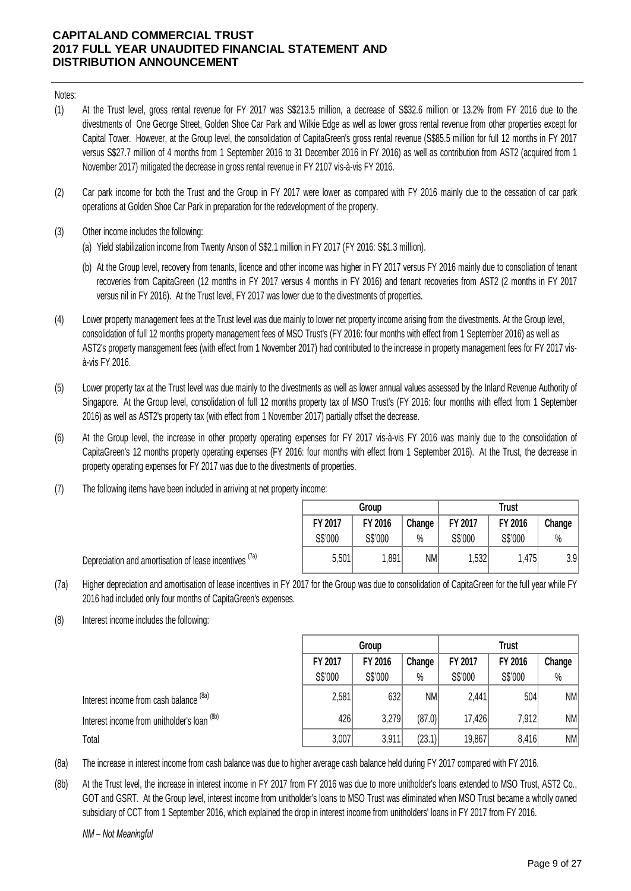Notes:

- (1) At the Trust level, gross rental revenue for FY 2017 was S\$213.5 million, a decrease of S\$32.6 million or 13.2% from FY 2016 due to the divestments of One George Street, Golden Shoe Car Park and Wilkie Edge as well as lower gross rental revenue from other properties except for Capital Tower. However, at the Group level, the consolidation of CapitaGreen's gross rental revenue (S\$85.5 million for full 12 months in FY 2017 versus S\$27.7 million of 4 months from 1 September 2016 to 31 December 2016 in FY 2016) as well as contribution from AST2 (acquired from 1 November 2017) mitigated the decrease in gross rental revenue in FY 2107 vis-à-vis FY 2016.
- (2) Car park income for both the Trust and the Group in FY 2017 were lower as compared with FY 2016 mainly due to the cessation of car park operations at Golden Shoe Car Park in preparation for the redevelopment of the property.
- (3) Other income includes the following:
	- (a) Yield stabilization income from Twenty Anson of S\$2.1 million in FY 2017 (FY 2016: S\$1.3 million).
	- (b) At the Group level, recovery from tenants, licence and other income was higher in FY 2017 versus FY 2016 mainly due to consoliation of tenant recoveries from CapitaGreen (12 months in FY 2017 versus 4 months in FY 2016) and tenant recoveries from AST2 (2 months in FY 2017 versus nil in FY 2016). At the Trust level, FY 2017 was lower due to the divestments of properties.
- (4) Lower property management fees at the Trust level was due mainly to lower net property income arising from the divestments. At the Group level, consolidation of full 12 months property management fees of MSO Trust's (FY 2016: four months with effect from 1 September 2016) as well as AST2's property management fees (with effect from 1 November 2017) had contributed to the increase in property management fees for FY 2017 visà-vis FY 2016.
- (5) Lower property tax at the Trust level was due mainly to the divestments as well as lower annual values assessed by the Inland Revenue Authority of Singapore. At the Group level, consolidation of full 12 months property tax of MSO Trust's (FY 2016: four months with effect from 1 September 2016) as well as AST2's property tax (with effect from 1 November 2017) partially offset the decrease.
- (6) At the Group level, the increase in other property operating expenses for FY 2017 vis-à-vis FY 2016 was mainly due to the consolidation of CapitaGreen's 12 months property operating expenses (FY 2016: four months with effect from 1 September 2016). At the Trust, the decrease in property operating expenses for FY 2017 was due to the divestments of properties.
- (7) The following items have been included in arriving at net property income:

|         | Group   |        |         | <b>Trust</b> |                  |
|---------|---------|--------|---------|--------------|------------------|
| FY 2017 | FY 2016 | Change | FY 2017 | FY 2016      | Change           |
| S\$'000 | S\$'000 | $\%$   | S\$'000 | S\$'000      | %                |
| 5,501   | 1,891   | NMI    | 1,532   | 1,475        | 3.9 <sub>l</sub> |

Depreciation and amortisation of lease incentives <sup>(7a)</sup>

- (7a) Higher depreciation and amortisation of lease incentives in FY 2017 for the Group was due to consolidation of CapitaGreen for the full year while FY 2016 had included only four months of CapitaGreen's expenses.
- (8) Interest income includes the following:

|                                             | Group   |         |           | <b>Trust</b> |         |        |  |
|---------------------------------------------|---------|---------|-----------|--------------|---------|--------|--|
|                                             | FY 2017 | FY 2016 | Change    | FY 2017      | FY 2016 | Change |  |
|                                             | S\$'000 | S\$'000 | $\%$      | S\$'000      | S\$'000 | $\%$   |  |
| Interest income from cash balance (8a)      | 2,581   | 632     | <b>NM</b> | 2,441        | 504     | NM     |  |
| Interest income from unitholder's loan (8b) | 426     | 3,279   | (87.0)    | 17,426       | 7,912   | NM     |  |
| Total                                       | 3,007   | 3,911   | (23.1)    | 19,867       | 8,416   | NM     |  |

- (8a) The increase in interest income from cash balance was due to higher average cash balance held during FY 2017 compared with FY 2016.
- (8b) At the Trust level, the increase in interest income in FY 2017 from FY 2016 was due to more unitholder's loans extended to MSO Trust, AST2 Co., GOT and GSRT. At the Group level, interest income from unitholder's loans to MSO Trust was eliminated when MSO Trust became a wholly owned subsidiary of CCT from 1 September 2016, which explained the drop in interest income from unitholders' loans in FY 2017 from FY 2016.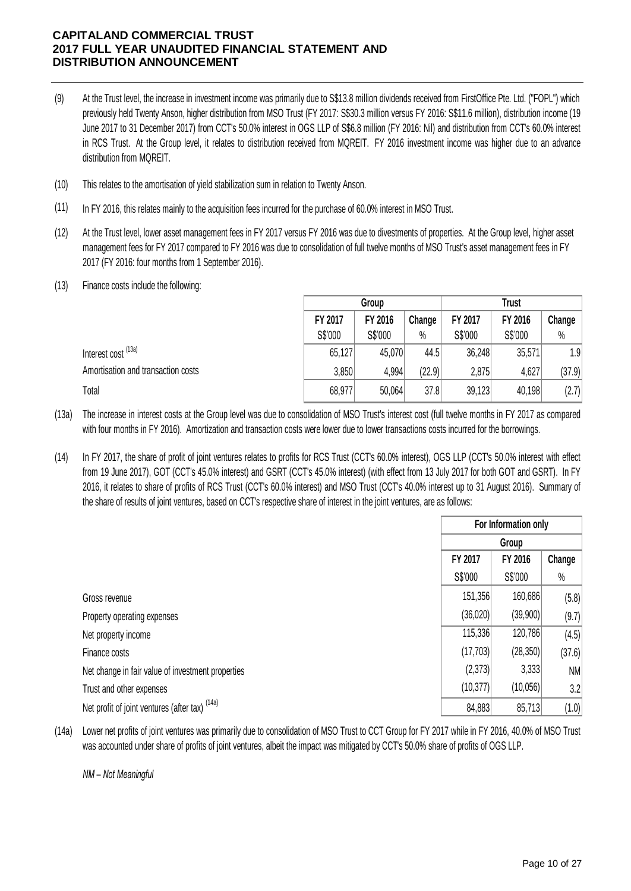- (9) At the Trust level, the increase in investment income was primarily due to S\$13.8 million dividends received from FirstOffice Pte. Ltd. ("FOPL") which previously held Twenty Anson, higher distribution from MSO Trust (FY 2017: S\$30.3 million versus FY 2016: S\$11.6 million), distribution income (19 June 2017 to 31 December 2017) from CCT's 50.0% interest in OGS LLP of S\$6.8 million (FY 2016: Nil) and distribution from CCT's 60.0% interest in RCS Trust. At the Group level, it relates to distribution received from MQREIT. FY 2016 investment income was higher due to an advance distribution from MQREIT.
- (10) This relates to the amortisation of yield stabilization sum in relation to Twenty Anson.
- (11) In FY 2016, this relates mainly to the acquisition fees incurred for the purchase of 60.0% interest in MSO Trust.
- $(12)$ At the Trust level, lower asset management fees in FY 2017 versus FY 2016 was due to divestments of properties. At the Group level, higher asset management fees for FY 2017 compared to FY 2016 was due to consolidation of full twelve months of MSO Trust's asset management fees in FY 2017 (FY 2016: four months from 1 September 2016).
- (13) Finance costs include the following:

|                                    |         | Group   |        |         | <b>Trust</b> |        |
|------------------------------------|---------|---------|--------|---------|--------------|--------|
|                                    | FY 2017 | FY 2016 | Change | FY 2017 | FY 2016      | Change |
|                                    | S\$'000 | S\$'000 | $\%$   | S\$'000 | S\$'000      | $\%$   |
| Interest cost <sup>(13a)</sup>     | 65,127  | 45,070  | 44.5   | 36,248  | 35,571       | 1.9    |
| Amortisation and transaction costs | 3,850   | 4,994   | (22.9) | 2,875   | 4,627        | (37.9) |
| Total                              | 68,977  | 50,064  | 37.8   | 39,123  | 40,198       | (2.7)  |

(13a) The increase in interest costs at the Group level was due to consolidation of MSO Trust's interest cost (full twelve months in FY 2017 as compared with four months in FY 2016). Amortization and transaction costs were lower due to lower transactions costs incurred for the borrowings.

(14) In FY 2017, the share of profit of joint ventures relates to profits for RCS Trust (CCT's 60.0% interest), OGS LLP (CCT's 50.0% interest with effect from 19 June 2017), GOT (CCT's 45.0% interest) and GSRT (CCT's 45.0% interest) (with effect from 13 July 2017 for both GOT and GSRT). In FY 2016, it relates to share of profits of RCS Trust (CCT's 60.0% interest) and MSO Trust (CCT's 40.0% interest up to 31 August 2016). Summary of the share of results of joint ventures, based on CCT's respective share of interest in the joint ventures, are as follows:

|                                                           | For Information only |           |        |  |  |
|-----------------------------------------------------------|----------------------|-----------|--------|--|--|
|                                                           |                      | Group     |        |  |  |
|                                                           | FY 2017              | Change    |        |  |  |
|                                                           | S\$'000              | S\$'000   | $\%$   |  |  |
| Gross revenue                                             | 151,356              | 160,686   | (5.8)  |  |  |
| Property operating expenses                               | (36,020)             | (39,900)  | (9.7)  |  |  |
| Net property income                                       | 115,336              | 120,786   | (4.5)  |  |  |
| Finance costs                                             | (17, 703)            | (28, 350) | (37.6) |  |  |
| Net change in fair value of investment properties         | (2,373)              | 3,333     | NM     |  |  |
| Trust and other expenses                                  | (10, 377)            | (10,056)  | 3.2    |  |  |
| Net profit of joint ventures (after tax) <sup>(14a)</sup> | 84,883               | 85,713    | (1.0)  |  |  |

(14a) Lower net profits of joint ventures was primarily due to consolidation of MSO Trust to CCT Group for FY 2017 while in FY 2016, 40.0% of MSO Trust was accounted under share of profits of joint ventures, albeit the impact was mitigated by CCT's 50.0% share of profits of OGS LLP.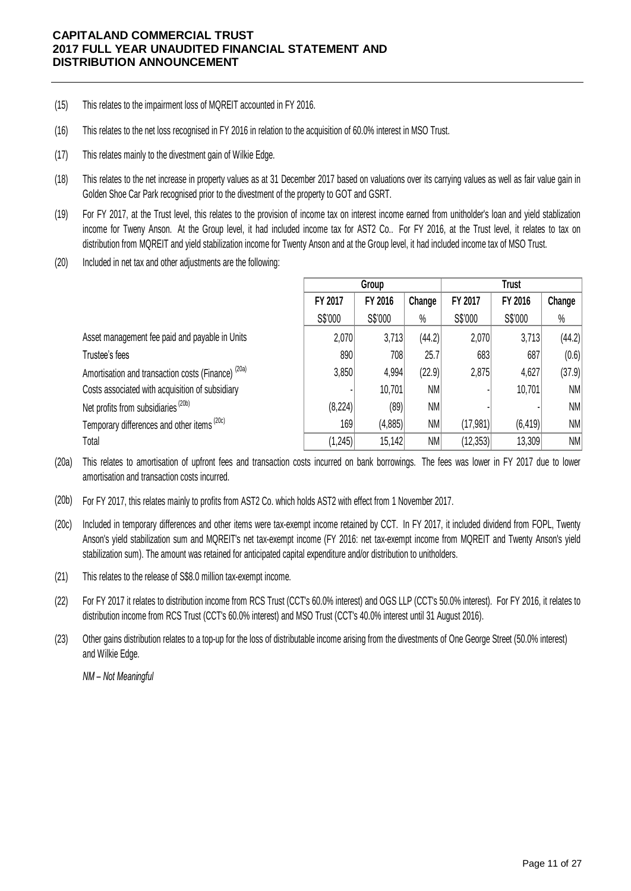- (15) This relates to the impairment loss of MQREIT accounted in FY 2016.
- (16) This relates to the net loss recognised in FY 2016 in relation to the acquisition of 60.0% interest in MSO Trust.
- (17) This relates mainly to the divestment gain of Wilkie Edge.
- (18) This relates to the net increase in property values as at 31 December 2017 based on valuations over its carrying values as well as fair value gain in Golden Shoe Car Park recognised prior to the divestment of the property to GOT and GSRT.
- (19) For FY 2017, at the Trust level, this relates to the provision of income tax on interest income earned from unitholder's loan and yield stablization income for Tweny Anson. At the Group level, it had included income tax for AST2 Co.. For FY 2016, at the Trust level, it relates to tax on distribution from MQREIT and yield stabilization income for Twenty Anson and at the Group level, it had included income tax of MSO Trust.
- (20) Included in net tax and other adjustments are the following:

|                                                               |          | Group    |        |           | <b>Trust</b> |        |  |  |
|---------------------------------------------------------------|----------|----------|--------|-----------|--------------|--------|--|--|
|                                                               | FY 2017  | FY 2016  | Change | FY 2017   | FY 2016      | Change |  |  |
|                                                               | S\$'000  | S\$'000  | $\%$   | S\$'000   | S\$'000      | $\%$   |  |  |
| Asset management fee paid and payable in Units                | 2,070    | 3,713    | (44.2) | 2,070     | 3,713        | (44.2) |  |  |
| Trustee's fees                                                | 890      | 708      | 25.7   | 683       | 687          | (0.6)  |  |  |
| Amortisation and transaction costs (Finance) <sup>(20a)</sup> | 3,850    | 4,994    | (22.9) | 2,875     | 4,627        | (37.9) |  |  |
| Costs associated with acquisition of subsidiary               |          | 10,701   | NM     |           | 10,701       | NM     |  |  |
| Net profits from subsidiaries <sup>(20b)</sup>                | (8, 224) | (89)     | NM     |           |              | NM     |  |  |
| Temporary differences and other items <sup>(20c)</sup>        | 169      | (4, 885) | NM     | (17, 981) | (6, 419)     | NM     |  |  |
| Total                                                         | (1, 245) | 15,142   | NM     | (12, 353) | 13,309       | NM     |  |  |

(20a) This relates to amortisation of upfront fees and transaction costs incurred on bank borrowings. The fees was lower in FY 2017 due to lower amortisation and transaction costs incurred.

- (20b) For FY 2017, this relates mainly to profits from AST2 Co. which holds AST2 with effect from 1 November 2017.
- (20c) Included in temporary differences and other items were tax-exempt income retained by CCT. In FY 2017, it included dividend from FOPL, Twenty Anson's yield stabilization sum and MQREIT's net tax-exempt income (FY 2016: net tax-exempt income from MQREIT and Twenty Anson's yield stabilization sum). The amount was retained for anticipated capital expenditure and/or distribution to unitholders.
- (21) This relates to the release of S\$8.0 million tax-exempt income.
- (22) For FY 2017 it relates to distribution income from RCS Trust (CCT's 60.0% interest) and OGS LLP (CCT's 50.0% interest). For FY 2016, it relates to distribution income from RCS Trust (CCT's 60.0% interest) and MSO Trust (CCT's 40.0% interest until 31 August 2016).
- Other gains distribution relates to a top-up for the loss of distributable income arising from the divestments of One George Street (50.0% interest) and Wilkie Edge. (23)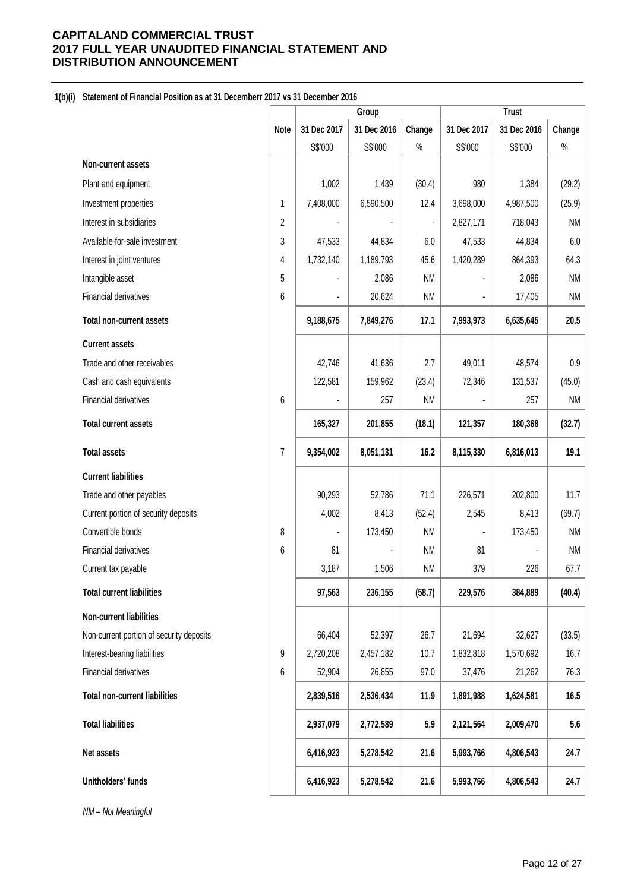#### **1(b)(i) Statement of Financial Position as at 31 Decemberr 2017 vs 31 December 2016**

|                                          |                |             | Group       |                |                | <b>Trust</b> |           |
|------------------------------------------|----------------|-------------|-------------|----------------|----------------|--------------|-----------|
|                                          | <b>Note</b>    | 31 Dec 2017 | 31 Dec 2016 | Change         | 31 Dec 2017    | 31 Dec 2016  | Change    |
|                                          |                | S\$'000     | S\$'000     | $\%$           | S\$'000        | S\$'000      | $\%$      |
| Non-current assets                       |                |             |             |                |                |              |           |
| Plant and equipment                      |                | 1,002       | 1,439       | (30.4)         | 980            | 1,384        | (29.2)    |
| Investment properties                    | 1              | 7,408,000   | 6,590,500   | 12.4           | 3,698,000      | 4,987,500    | (25.9)    |
| Interest in subsidiaries                 | $\overline{2}$ |             |             | $\blacksquare$ | 2,827,171      | 718,043      | <b>NM</b> |
| Available-for-sale investment            | 3              | 47,533      | 44,834      | 6.0            | 47,533         | 44,834       | 6.0       |
| Interest in joint ventures               | 4              | 1,732,140   | 1,189,793   | 45.6           | 1,420,289      | 864,393      | 64.3      |
| Intangible asset                         | 5              |             | 2,086       | <b>NM</b>      | ä,             | 2,086        | <b>NM</b> |
| Financial derivatives                    | 6              |             | 20,624      | <b>NM</b>      | ä,             | 17,405       | <b>NM</b> |
| <b>Total non-current assets</b>          |                | 9,188,675   | 7,849,276   | 17.1           | 7,993,973      | 6,635,645    | 20.5      |
| <b>Current assets</b>                    |                |             |             |                |                |              |           |
| Trade and other receivables              |                | 42,746      | 41,636      | 2.7            | 49,011         | 48,574       | 0.9       |
| Cash and cash equivalents                |                | 122,581     | 159,962     | (23.4)         | 72,346         | 131,537      | (45.0)    |
| Financial derivatives                    | 6              |             | 257         | <b>NM</b>      |                | 257          | <b>NM</b> |
| <b>Total current assets</b>              |                | 165,327     | 201,855     | (18.1)         | 121,357        | 180,368      | (32.7)    |
| <b>Total assets</b>                      | 7              | 9,354,002   | 8,051,131   | 16.2           | 8,115,330      | 6,816,013    | 19.1      |
| <b>Current liabilities</b>               |                |             |             |                |                |              |           |
| Trade and other payables                 |                | 90,293      | 52,786      | 71.1           | 226,571        | 202,800      | 11.7      |
| Current portion of security deposits     |                | 4,002       | 8,413       | (52.4)         | 2,545          | 8,413        | (69.7)    |
| Convertible bonds                        | 8              |             | 173,450     | <b>NM</b>      | $\blacksquare$ | 173,450      | <b>NM</b> |
| Financial derivatives                    | 6              | 81          |             | <b>NM</b>      | 81             |              | <b>NM</b> |
| Current tax payable                      |                | 3,187       | 1,506       | <b>NM</b>      | 379            | 226          | 67.7      |
| <b>Total current liabilities</b>         |                | 97,563      | 236,155     | (58.7)         | 229,576        | 384,889      | (40.4)    |
| Non-current liabilities                  |                |             |             |                |                |              |           |
| Non-current portion of security deposits |                | 66,404      | 52,397      | 26.7           | 21,694         | 32,627       | (33.5)    |
| Interest-bearing liabilities             | 9              | 2,720,208   | 2,457,182   | 10.7           | 1,832,818      | 1,570,692    | 16.7      |
| Financial derivatives                    | 6              | 52,904      | 26,855      | 97.0           | 37,476         | 21,262       | 76.3      |
| <b>Total non-current liabilities</b>     |                | 2,839,516   | 2,536,434   | 11.9           | 1,891,988      | 1,624,581    | 16.5      |
| <b>Total liabilities</b>                 |                | 2,937,079   | 2,772,589   | 5.9            | 2,121,564      | 2,009,470    | 5.6       |
| Net assets                               |                | 6,416,923   | 5,278,542   | 21.6           | 5,993,766      | 4,806,543    | 24.7      |
| Unitholders' funds                       |                | 6,416,923   | 5,278,542   | 21.6           | 5,993,766      | 4,806,543    | 24.7      |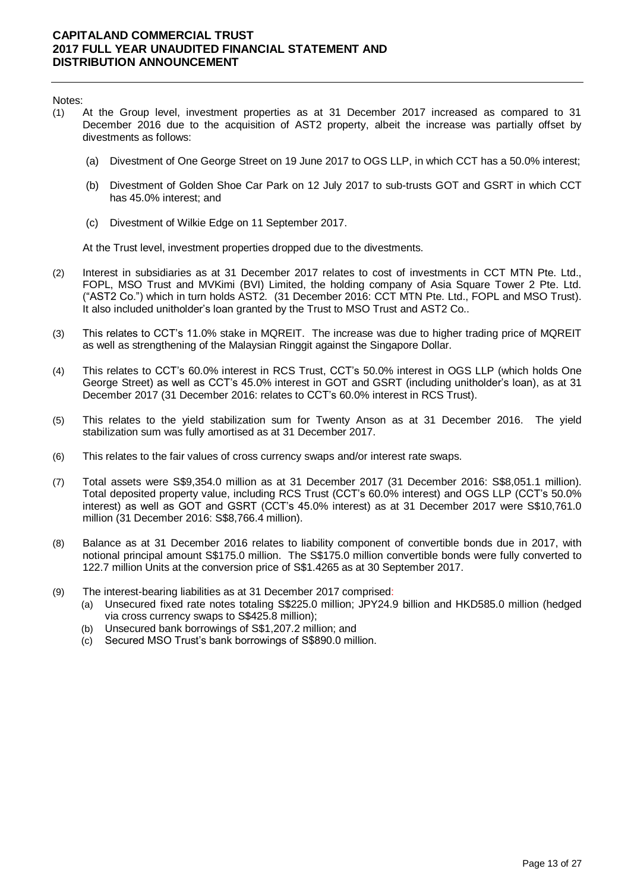Notes:

- (1) At the Group level, investment properties as at 31 December 2017 increased as compared to 31 December 2016 due to the acquisition of AST2 property, albeit the increase was partially offset by divestments as follows:
	- (a) Divestment of One George Street on 19 June 2017 to OGS LLP, in which CCT has a 50.0% interest;
	- (b) Divestment of Golden Shoe Car Park on 12 July 2017 to sub-trusts GOT and GSRT in which CCT has 45.0% interest; and
	- (c) Divestment of Wilkie Edge on 11 September 2017.

At the Trust level, investment properties dropped due to the divestments.

- (2) Interest in subsidiaries as at 31 December 2017 relates to cost of investments in CCT MTN Pte. Ltd., FOPL, MSO Trust and MVKimi (BVI) Limited, the holding company of Asia Square Tower 2 Pte. Ltd. ("AST2 Co.") which in turn holds AST2. (31 December 2016: CCT MTN Pte. Ltd., FOPL and MSO Trust). It also included unitholder's loan granted by the Trust to MSO Trust and AST2 Co..
- (3) This relates to CCT's 11.0% stake in MQREIT. The increase was due to higher trading price of MQREIT as well as strengthening of the Malaysian Ringgit against the Singapore Dollar.
- (4) This relates to CCT's 60.0% interest in RCS Trust, CCT's 50.0% interest in OGS LLP (which holds One George Street) as well as CCT's 45.0% interest in GOT and GSRT (including unitholder's loan), as at 31 December 2017 (31 December 2016: relates to CCT's 60.0% interest in RCS Trust).
- (5) This relates to the yield stabilization sum for Twenty Anson as at 31 December 2016. The yield stabilization sum was fully amortised as at 31 December 2017.
- (6) This relates to the fair values of cross currency swaps and/or interest rate swaps.
- (7) Total assets were S\$9,354.0 million as at 31 December 2017 (31 December 2016: S\$8,051.1 million). Total deposited property value, including RCS Trust (CCT's 60.0% interest) and OGS LLP (CCT's 50.0% interest) as well as GOT and GSRT (CCT's 45.0% interest) as at 31 December 2017 were S\$10,761.0 million (31 December 2016: S\$8,766.4 million).
- (8) Balance as at 31 December 2016 relates to liability component of convertible bonds due in 2017, with notional principal amount S\$175.0 million. The S\$175.0 million convertible bonds were fully converted to 122.7 million Units at the conversion price of S\$1.4265 as at 30 September 2017.
- (9) The interest-bearing liabilities as at 31 December 2017 comprised:
	- (a) Unsecured fixed rate notes totaling S\$225.0 million; JPY24.9 billion and HKD585.0 million (hedged via cross currency swaps to S\$425.8 million);
	- (b) Unsecured bank borrowings of S\$1,207.2 million; and
	- (c) Secured MSO Trust's bank borrowings of S\$890.0 million.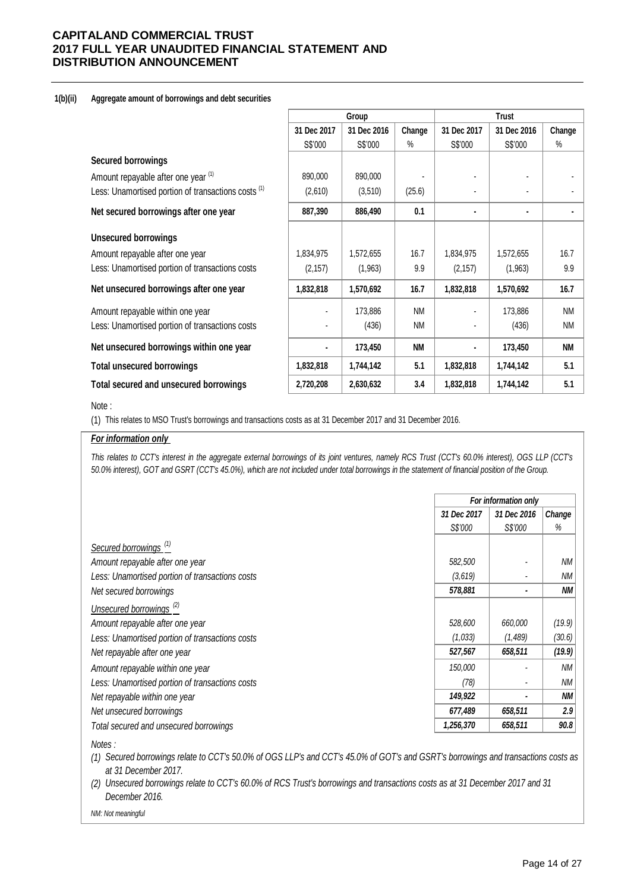#### **1(b)(ii) Aggregate amount of borrowings and debt securities**

|                                                                |                | Group       |           | <b>Trust</b>   |             |           |  |
|----------------------------------------------------------------|----------------|-------------|-----------|----------------|-------------|-----------|--|
|                                                                | 31 Dec 2017    | 31 Dec 2016 | Change    | 31 Dec 2017    | 31 Dec 2016 | Change    |  |
|                                                                | S\$'000        | S\$'000     | $\%$      | S\$'000        | S\$'000     | $\%$      |  |
| <b>Secured borrowings</b>                                      |                |             |           |                |             |           |  |
| Amount repayable after one year (1)                            | 890,000        | 890,000     |           |                |             |           |  |
| Less: Unamortised portion of transactions costs <sup>(1)</sup> | (2,610)        | (3,510)     | (25.6)    |                |             |           |  |
| Net secured borrowings after one year                          | 887,390        | 886,490     | 0.1       | ٠              | ٠           |           |  |
| <b>Unsecured borrowings</b>                                    |                |             |           |                |             |           |  |
| Amount repayable after one year                                | 1,834,975      | 1,572,655   | 16.7      | 1,834,975      | 1,572,655   | 16.7      |  |
| Less: Unamortised portion of transactions costs                | (2, 157)       | (1,963)     | 9.9       | (2, 157)       | (1,963)     | 9.9       |  |
| Net unsecured borrowings after one year                        | 1,832,818      | 1,570,692   | 16.7      | 1,832,818      | 1,570,692   | 16.7      |  |
| Amount repayable within one year                               |                | 173,886     | <b>NM</b> |                | 173,886     | <b>NM</b> |  |
| Less: Unamortised portion of transactions costs                |                | (436)       | <b>NM</b> |                | (436)       | <b>NM</b> |  |
| Net unsecured borrowings within one year                       | $\blacksquare$ | 173,450     | <b>NM</b> | $\blacksquare$ | 173,450     | <b>NM</b> |  |
| <b>Total unsecured borrowings</b>                              | 1,832,818      | 1,744,142   | 5.1       | 1,832,818      | 1,744,142   | 5.1       |  |
| Total secured and unsecured borrowings                         | 2,720,208      | 2,630,632   | 3.4       | 1,832,818      | 1,744,142   | 5.1       |  |

#### Note :

(1) This relates to MSO Trust's borrowings and transactions costs as at 31 December 2017 and 31 December 2016.

#### *For information only*

This relates to CCT's interest in the aggregate external borrowings of its joint ventures, namely RCS Trust (CCT's 60.0% interest), OGS LLP (CCT's *50.0% interest), GOT and GSRT (CCT's 45.0%), which are not included under total borrowings in the statement of financial position of the Group.*

|                                                 | For information only |             |           |  |
|-------------------------------------------------|----------------------|-------------|-----------|--|
|                                                 | 31 Dec 2017          | 31 Dec 2016 | Change    |  |
|                                                 | S\$'000              | S\$'000     | %         |  |
| Secured borrowings <sup>(1)</sup>               |                      |             |           |  |
| Amount repayable after one year                 | 582,500              |             | ΝM        |  |
| Less: Unamortised portion of transactions costs | (3,619)              |             | ΝM        |  |
| Net secured borrowings                          | 578,881              | ۰           | <b>NM</b> |  |
| Unsecured borrowings <sup>(2)</sup>             |                      |             |           |  |
| Amount repayable after one year                 | 528,600              | 660,000     | (19.9)    |  |
| Less: Unamortised portion of transactions costs | (1,033)              | (1,489)     | (30.6)    |  |
| Net repayable after one year                    | 527,567              | 658,511     | (19.9)    |  |
| Amount repayable within one year                | 150,000              |             | ΝM        |  |
| Less: Unamortised portion of transactions costs | (78)                 |             | ΝM        |  |
| Net repayable within one year                   | 149,922              |             | <b>NM</b> |  |
| Net unsecured borrowings                        | 677,489              | 658,511     | 2.9       |  |
| Total secured and unsecured borrowings          | 1,256,370            | 658,511     | 90.8      |  |

*Notes :*

*(1) Secured borrowings relate to CCT's 50.0% of OGS LLP's and CCT's 45.0% of GOT's and GSRT's borrowings and transactions costs as at 31 December 2017.* 

*(2) Unsecured borrowings relate to CCT's 60.0% of RCS Trust's borrowings and transactions costs as at 31 December 2017 and 31 December 2016.*

*NM: Not meaningful*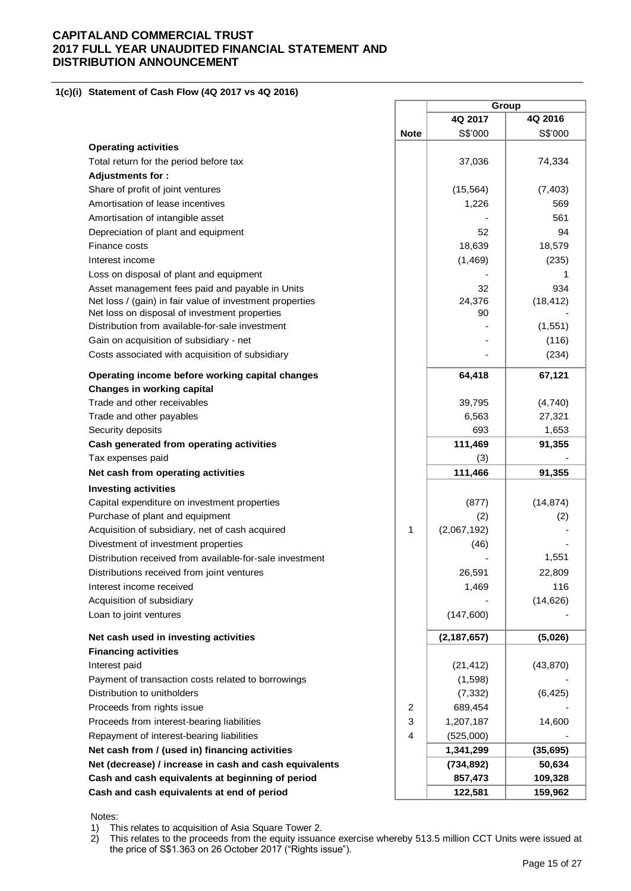#### **1(c)(i) Statement of Cash Flow (4Q 2017 vs 4Q 2016)**

|                                                          |             |               | Group     |
|----------------------------------------------------------|-------------|---------------|-----------|
|                                                          |             | 4Q 2017       | 4Q 2016   |
|                                                          | <b>Note</b> | S\$'000       | S\$'000   |
| <b>Operating activities</b>                              |             |               |           |
| Total return for the period before tax                   |             | 37,036        | 74,334    |
| <b>Adjustments for:</b>                                  |             |               |           |
| Share of profit of joint ventures                        |             | (15, 564)     | (7, 403)  |
| Amortisation of lease incentives                         |             | 1,226         | 569       |
| Amortisation of intangible asset                         |             |               | 561       |
| Depreciation of plant and equipment                      |             | 52            | 94        |
| Finance costs                                            |             | 18,639        | 18,579    |
| Interest income                                          |             | (1,469)       | (235)     |
| Loss on disposal of plant and equipment                  |             |               |           |
| Asset management fees paid and payable in Units          |             | 32            | 934       |
| Net loss / (gain) in fair value of investment properties |             | 24,376        | (18, 412) |
| Net loss on disposal of investment properties            |             | 90            |           |
| Distribution from available-for-sale investment          |             |               | (1, 551)  |
| Gain on acquisition of subsidiary - net                  |             |               | (116)     |
| Costs associated with acquisition of subsidiary          |             |               | (234)     |
| Operating income before working capital changes          |             | 64,418        | 67,121    |
| Changes in working capital                               |             |               |           |
| Trade and other receivables                              |             | 39,795        | (4,740)   |
| Trade and other payables                                 |             | 6,563         | 27,321    |
| Security deposits                                        |             | 693           | 1,653     |
| Cash generated from operating activities                 |             | 111,469       | 91,355    |
| Tax expenses paid                                        |             | (3)           |           |
| Net cash from operating activities                       |             | 111,466       | 91,355    |
| <b>Investing activities</b>                              |             |               |           |
| Capital expenditure on investment properties             |             | (877)         | (14, 874) |
| Purchase of plant and equipment                          |             | (2)           | (2)       |
| Acquisition of subsidiary, net of cash acquired          | 1           | (2,067,192)   |           |
| Divestment of investment properties                      |             | (46)          |           |
| Distribution received from available-for-sale investment |             |               | 1,551     |
| Distributions received from joint ventures               |             | 26,591        | 22,809    |
| Interest income received                                 |             | 1,469         | 116       |
| Acquisition of subsidiary                                |             |               | (14, 626) |
| Loan to joint ventures                                   |             | (147,600)     |           |
| Net cash used in investing activities                    |             | (2, 187, 657) | (5,026)   |
| <b>Financing activities</b>                              |             |               |           |
| Interest paid                                            |             | (21, 412)     | (43, 870) |
| Payment of transaction costs related to borrowings       |             | (1,598)       |           |
| Distribution to unitholders                              |             | (7, 332)      | (6, 425)  |
| Proceeds from rights issue                               | 2           | 689,454       |           |
| Proceeds from interest-bearing liabilities               | 3           | 1,207,187     | 14,600    |
| Repayment of interest-bearing liabilities                | 4           | (525,000)     |           |
| Net cash from / (used in) financing activities           |             | 1,341,299     | (35, 695) |
| Net (decrease) / increase in cash and cash equivalents   |             | (734, 892)    | 50,634    |
| Cash and cash equivalents at beginning of period         |             | 857,473       | 109,328   |
| Cash and cash equivalents at end of period               |             | 122,581       | 159,962   |
|                                                          |             |               |           |

Notes:

1) This relates to acquisition of Asia Square Tower 2.<br>2) This relates to the proceeds from the equity issuar 2) This relates to the proceeds from the equity issuance exercise whereby 513.5 million CCT Units were issued at the price of S\$1.363 on 26 October 2017 ("Rights issue").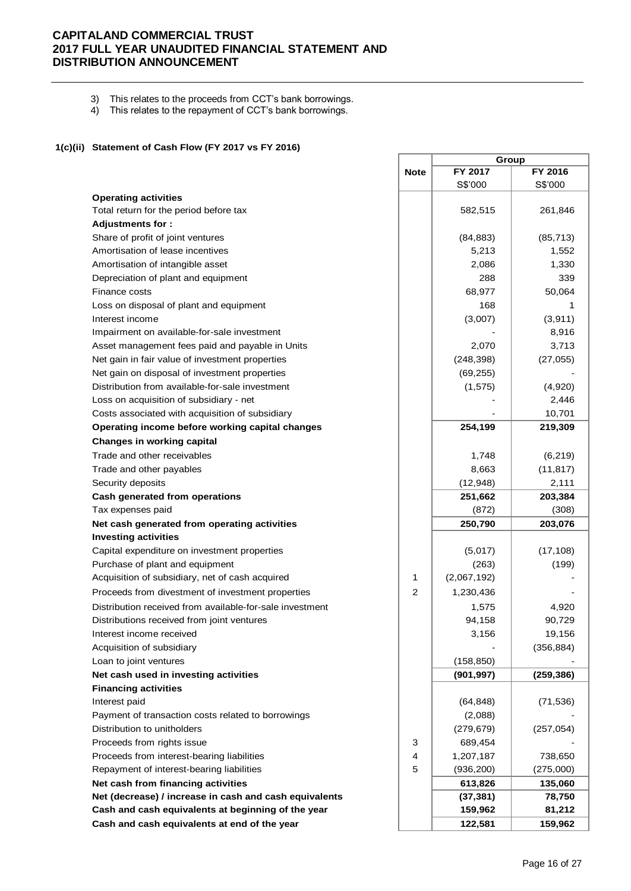3) This relates to the proceeds from CCT's bank borrowings.

4) This relates to the repayment of CCT's bank borrowings.

#### **1(c)(ii) Statement of Cash Flow (FY 2017 vs FY 2016)**

|                                                          |                | Group       |            |  |
|----------------------------------------------------------|----------------|-------------|------------|--|
|                                                          | <b>Note</b>    | FY 2017     | FY 2016    |  |
|                                                          |                | S\$'000     | S\$'000    |  |
| <b>Operating activities</b>                              |                |             |            |  |
| Total return for the period before tax                   |                | 582,515     | 261,846    |  |
| <b>Adjustments for:</b>                                  |                |             |            |  |
| Share of profit of joint ventures                        |                | (84, 883)   | (85, 713)  |  |
| Amortisation of lease incentives                         |                | 5,213       | 1,552      |  |
| Amortisation of intangible asset                         |                | 2,086       | 1,330      |  |
| Depreciation of plant and equipment                      |                | 288         | 339        |  |
| Finance costs                                            |                | 68,977      | 50,064     |  |
| Loss on disposal of plant and equipment                  |                | 168         | 1          |  |
| Interest income                                          |                | (3,007)     | (3,911)    |  |
| Impairment on available-for-sale investment              |                |             | 8,916      |  |
| Asset management fees paid and payable in Units          |                | 2,070       | 3,713      |  |
| Net gain in fair value of investment properties          |                | (248, 398)  | (27, 055)  |  |
| Net gain on disposal of investment properties            |                | (69, 255)   |            |  |
| Distribution from available-for-sale investment          |                | (1, 575)    | (4,920)    |  |
| Loss on acquisition of subsidiary - net                  |                |             | 2,446      |  |
| Costs associated with acquisition of subsidiary          |                |             | 10,701     |  |
| Operating income before working capital changes          |                | 254,199     | 219,309    |  |
| Changes in working capital                               |                |             |            |  |
| Trade and other receivables                              |                | 1,748       | (6, 219)   |  |
| Trade and other payables                                 |                | 8,663       | (11, 817)  |  |
| Security deposits                                        |                | (12, 948)   | 2,111      |  |
| <b>Cash generated from operations</b>                    |                | 251,662     | 203,384    |  |
| Tax expenses paid                                        |                | (872)       | (308)      |  |
| Net cash generated from operating activities             |                | 250,790     | 203,076    |  |
| <b>Investing activities</b>                              |                |             |            |  |
| Capital expenditure on investment properties             |                | (5,017)     | (17, 108)  |  |
| Purchase of plant and equipment                          |                | (263)       | (199)      |  |
| Acquisition of subsidiary, net of cash acquired          | 1              | (2,067,192) |            |  |
| Proceeds from divestment of investment properties        | $\overline{c}$ | 1,230,436   |            |  |
| Distribution received from available-for-sale investment |                | 1,575       | 4,920      |  |
| Distributions received from joint ventures               |                | 94,158      | 90,729     |  |
| Interest income received                                 |                | 3,156       | 19,156     |  |
| Acquisition of subsidiary                                |                |             | (356, 884) |  |
| Loan to joint ventures                                   |                | (158, 850)  |            |  |
| Net cash used in investing activities                    |                | (901, 997)  | (259, 386) |  |
| <b>Financing activities</b>                              |                |             |            |  |
| Interest paid                                            |                | (64, 848)   | (71, 536)  |  |
| Payment of transaction costs related to borrowings       |                | (2,088)     |            |  |
| Distribution to unitholders                              |                | (279, 679)  | (257, 054) |  |
| Proceeds from rights issue                               | 3              | 689,454     |            |  |
| Proceeds from interest-bearing liabilities               | 4              | 1,207,187   | 738,650    |  |
| Repayment of interest-bearing liabilities                | 5              | (936, 200)  | (275,000)  |  |
| Net cash from financing activities                       |                | 613,826     | 135,060    |  |
| Net (decrease) / increase in cash and cash equivalents   |                | (37, 381)   | 78,750     |  |
| Cash and cash equivalents at beginning of the year       |                | 159,962     | 81,212     |  |
| Cash and cash equivalents at end of the year             |                | 122,581     | 159,962    |  |
|                                                          |                |             |            |  |

 $\blacksquare$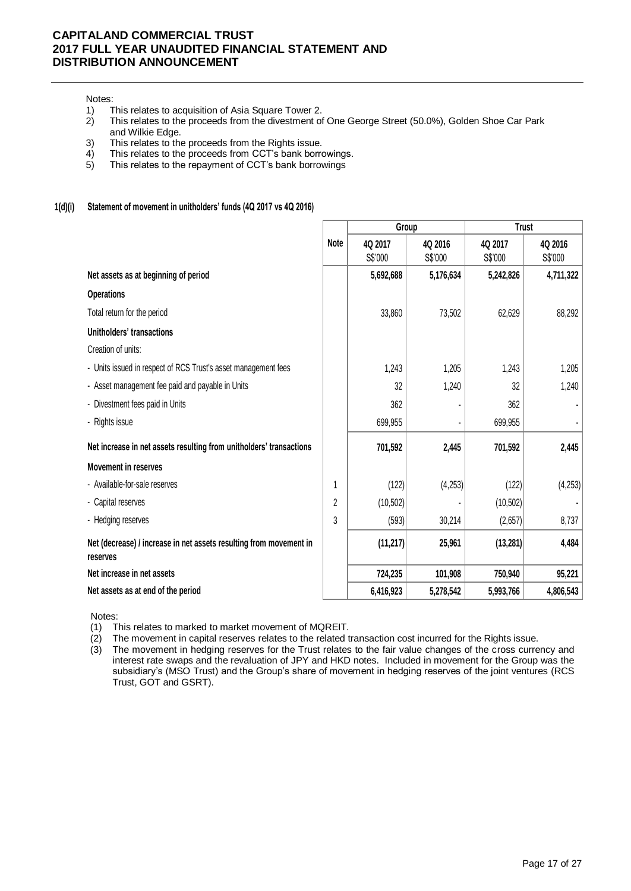# Notes:<br>1)

- 
- 1) This relates to acquisition of Asia Square Tower 2.<br>2) This relates to the proceeds from the divestment of 2) This relates to the proceeds from the divestment of One George Street (50.0%), Golden Shoe Car Park and Wilkie Edge.
- 3) This relates to the proceeds from the Rights issue.
- 4) This relates to the proceeds from CCT's bank borrowings.
- 5) This relates to the repayment of CCT's bank borrowings

#### **1(d)(i) Statement of movement in unitholders' funds (4Q 2017 vs 4Q 2016)**

|                                                                                |             | Group     |           | <b>Trust</b> |           |
|--------------------------------------------------------------------------------|-------------|-----------|-----------|--------------|-----------|
|                                                                                | <b>Note</b> | 4Q 2017   | 4Q 2016   | 4Q 2017      | 4Q 2016   |
|                                                                                |             | S\$'000   | S\$'000   | S\$'000      | S\$'000   |
| Net assets as at beginning of period                                           |             | 5,692,688 | 5,176,634 | 5,242,826    | 4,711,322 |
| <b>Operations</b>                                                              |             |           |           |              |           |
| Total return for the period                                                    |             | 33,860    | 73,502    | 62,629       | 88,292    |
| Unitholders' transactions                                                      |             |           |           |              |           |
| Creation of units:                                                             |             |           |           |              |           |
| - Units issued in respect of RCS Trust's asset management fees                 |             | 1,243     | 1,205     | 1,243        | 1,205     |
| - Asset management fee paid and payable in Units                               |             | 32        | 1,240     | 32           | 1,240     |
| - Divestment fees paid in Units                                                |             | 362       |           | 362          |           |
| - Rights issue                                                                 |             | 699,955   |           | 699,955      |           |
| Net increase in net assets resulting from unitholders' transactions            |             | 701,592   | 2,445     | 701,592      | 2,445     |
| <b>Movement in reserves</b>                                                    |             |           |           |              |           |
| - Available-for-sale reserves                                                  | 1           | (122)     | (4,253)   | (122)        | (4,253)   |
| - Capital reserves                                                             | 2           | (10, 502) |           | (10, 502)    |           |
| - Hedging reserves                                                             | 3           | (593)     | 30,214    | (2,657)      | 8,737     |
| Net (decrease) / increase in net assets resulting from movement in<br>reserves |             | (11, 217) | 25,961    | (13, 281)    | 4,484     |
| Net increase in net assets                                                     |             | 724,235   | 101,908   | 750,940      | 95,221    |
| Net assets as at end of the period                                             |             | 6,416,923 | 5,278,542 | 5,993,766    | 4,806,543 |

Notes:

(1) This relates to marked to market movement of MQREIT.

(2) The movement in capital reserves relates to the related transaction cost incurred for the Rights issue.

(3) The movement in hedging reserves for the Trust relates to the fair value changes of the cross currency and interest rate swaps and the revaluation of JPY and HKD notes. Included in movement for the Group was the subsidiary's (MSO Trust) and the Group's share of movement in hedging reserves of the joint ventures (RCS Trust, GOT and GSRT).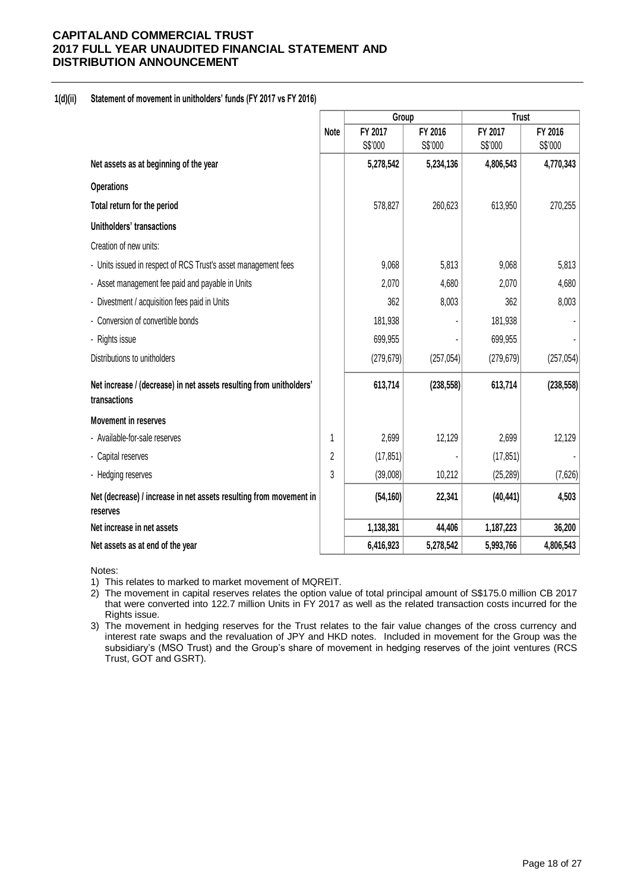#### **1(d)(ii) Statement of movement in unitholders' funds (FY 2017 vs FY 2016)**

|                                                                                     |                | Group      |            | <b>Trust</b> |            |
|-------------------------------------------------------------------------------------|----------------|------------|------------|--------------|------------|
|                                                                                     | <b>Note</b>    | FY 2017    | FY 2016    | FY 2017      | FY 2016    |
|                                                                                     |                | S\$'000    | S\$'000    | S\$'000      | S\$'000    |
| Net assets as at beginning of the year                                              |                | 5,278,542  | 5,234,136  | 4,806,543    | 4,770,343  |
| <b>Operations</b>                                                                   |                |            |            |              |            |
| Total return for the period                                                         |                | 578,827    | 260,623    | 613,950      | 270,255    |
| Unitholders' transactions                                                           |                |            |            |              |            |
| Creation of new units:                                                              |                |            |            |              |            |
| - Units issued in respect of RCS Trust's asset management fees                      |                | 9,068      | 5,813      | 9,068        | 5,813      |
| - Asset management fee paid and payable in Units                                    |                | 2,070      | 4,680      | 2,070        | 4,680      |
| - Divestment / acquisition fees paid in Units                                       |                | 362        | 8,003      | 362          | 8,003      |
| - Conversion of convertible bonds                                                   |                | 181,938    |            | 181,938      |            |
| - Rights issue                                                                      |                | 699,955    |            | 699,955      |            |
| Distributions to unitholders                                                        |                | (279, 679) | (257, 054) | (279, 679)   | (257, 054) |
| Net increase / (decrease) in net assets resulting from unitholders'<br>transactions |                | 613,714    | (238, 558) | 613,714      | (238, 558) |
| <b>Movement in reserves</b>                                                         |                |            |            |              |            |
| - Available-for-sale reserves                                                       | 1              | 2,699      | 12,129     | 2,699        | 12,129     |
| - Capital reserves                                                                  | $\overline{2}$ | (17, 851)  |            | (17, 851)    |            |
| - Hedging reserves                                                                  | 3              | (39,008)   | 10,212     | (25, 289)    | (7,626)    |
| Net (decrease) / increase in net assets resulting from movement in<br>reserves      |                | (54, 160)  | 22,341     | (40, 441)    | 4,503      |
| Net increase in net assets                                                          |                | 1,138,381  | 44,406     | 1,187,223    | 36,200     |
| Net assets as at end of the year                                                    |                | 6,416,923  | 5,278,542  | 5,993,766    | 4,806,543  |

Notes:

1) This relates to marked to market movement of MQREIT.

2) The movement in capital reserves relates the option value of total principal amount of S\$175.0 million CB 2017 that were converted into 122.7 million Units in FY 2017 as well as the related transaction costs incurred for the Rights issue.

3) The movement in hedging reserves for the Trust relates to the fair value changes of the cross currency and interest rate swaps and the revaluation of JPY and HKD notes. Included in movement for the Group was the subsidiary's (MSO Trust) and the Group's share of movement in hedging reserves of the joint ventures (RCS Trust, GOT and GSRT).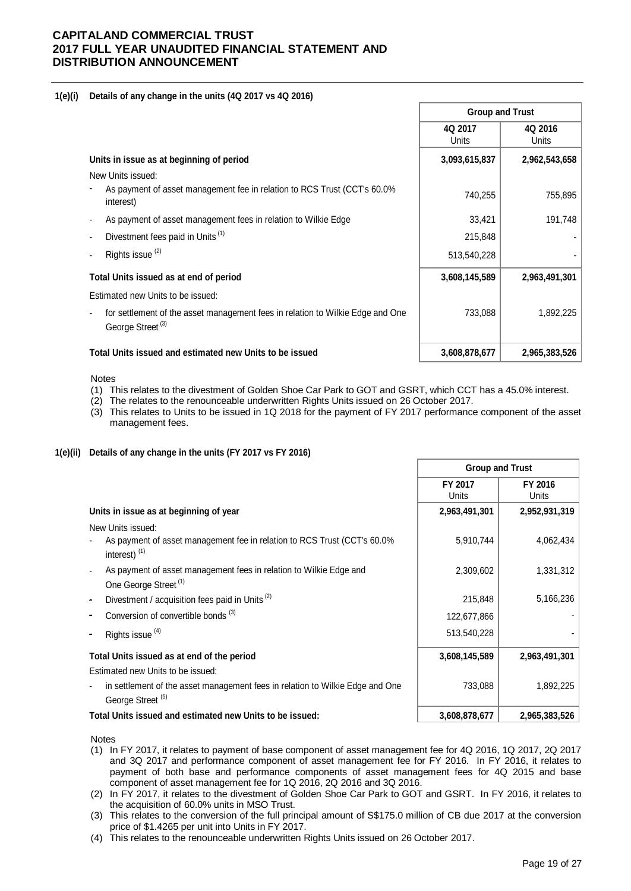#### **1(e)(i) Details of any change in the units (4Q 2017 vs 4Q 2016)**

|                                                                                                                | <b>Group and Trust</b> |                         |  |
|----------------------------------------------------------------------------------------------------------------|------------------------|-------------------------|--|
|                                                                                                                | 4Q 2017<br>Units       | 4Q 2016<br><b>Units</b> |  |
| Units in issue as at beginning of period                                                                       | 3,093,615,837          | 2,962,543,658           |  |
| New Units issued:                                                                                              |                        |                         |  |
| As payment of asset management fee in relation to RCS Trust (CCT's 60.0%<br>interest)                          | 740,255                | 755,895                 |  |
| As payment of asset management fees in relation to Wilkie Edge                                                 | 33,421                 | 191,748                 |  |
| Divestment fees paid in Units (1)                                                                              | 215,848                |                         |  |
| Rights issue <sup>(2)</sup>                                                                                    | 513,540,228            |                         |  |
| Total Units issued as at end of period                                                                         | 3,608,145,589          | 2,963,491,301           |  |
| Estimated new Units to be issued:                                                                              |                        |                         |  |
| for settlement of the asset management fees in relation to Wilkie Edge and One<br>George Street <sup>(3)</sup> | 733,088                | 1,892,225               |  |
| Total Units issued and estimated new Units to be issued                                                        | 3,608,878,677          | 2,965,383,526           |  |

Notes

- (1) This relates to the divestment of Golden Shoe Car Park to GOT and GSRT, which CCT has a 45.0% interest.
- (2) The relates to the renounceable underwritten Rights Units issued on 26 October 2017.
- (3) This relates to Units to be issued in 1Q 2018 for the payment of FY 2017 performance component of the asset management fees.

#### **1(e)(ii) Details of any change in the units (FY 2017 vs FY 2016)**

|                                                                                                               | <b>Group and Trust</b> |                  |  |
|---------------------------------------------------------------------------------------------------------------|------------------------|------------------|--|
|                                                                                                               | FY 2017<br>Units       | FY 2016<br>Units |  |
| Units in issue as at beginning of year                                                                        | 2,963,491,301          | 2,952,931,319    |  |
| New Units issued:                                                                                             |                        |                  |  |
| As payment of asset management fee in relation to RCS Trust (CCT's 60.0%<br>interest) <sup>(1)</sup>          | 5,910,744              | 4,062,434        |  |
| As payment of asset management fees in relation to Wilkie Edge and                                            | 2,309,602              | 1,331,312        |  |
| One George Street <sup>(1)</sup>                                                                              |                        |                  |  |
| Divestment / acquisition fees paid in Units <sup>(2)</sup>                                                    | 215,848                | 5,166,236        |  |
| Conversion of convertible bonds <sup>(3)</sup>                                                                | 122,677,866            |                  |  |
| Rights issue <sup>(4)</sup>                                                                                   | 513,540,228            |                  |  |
| Total Units issued as at end of the period                                                                    | 3,608,145,589          | 2,963,491,301    |  |
| Estimated new Units to be issued:                                                                             |                        |                  |  |
| in settlement of the asset management fees in relation to Wilkie Edge and One<br>George Street <sup>(5)</sup> | 733,088                | 1,892,225        |  |
| Total Units issued and estimated new Units to be issued:                                                      | 3,608,878,677          | 2,965,383,526    |  |

Notes

- (1) In FY 2017, it relates to payment of base component of asset management fee for 4Q 2016, 1Q 2017, 2Q 2017 and 3Q 2017 and performance component of asset management fee for FY 2016. In FY 2016, it relates to payment of both base and performance components of asset management fees for 4Q 2015 and base component of asset management fee for 1Q 2016, 2Q 2016 and 3Q 2016.
- (2) In FY 2017, it relates to the divestment of Golden Shoe Car Park to GOT and GSRT. In FY 2016, it relates to the acquisition of 60.0% units in MSO Trust.
- (3) This relates to the conversion of the full principal amount of S\$175.0 million of CB due 2017 at the conversion price of \$1.4265 per unit into Units in FY 2017.
- (4) This relates to the renounceable underwritten Rights Units issued on 26 October 2017.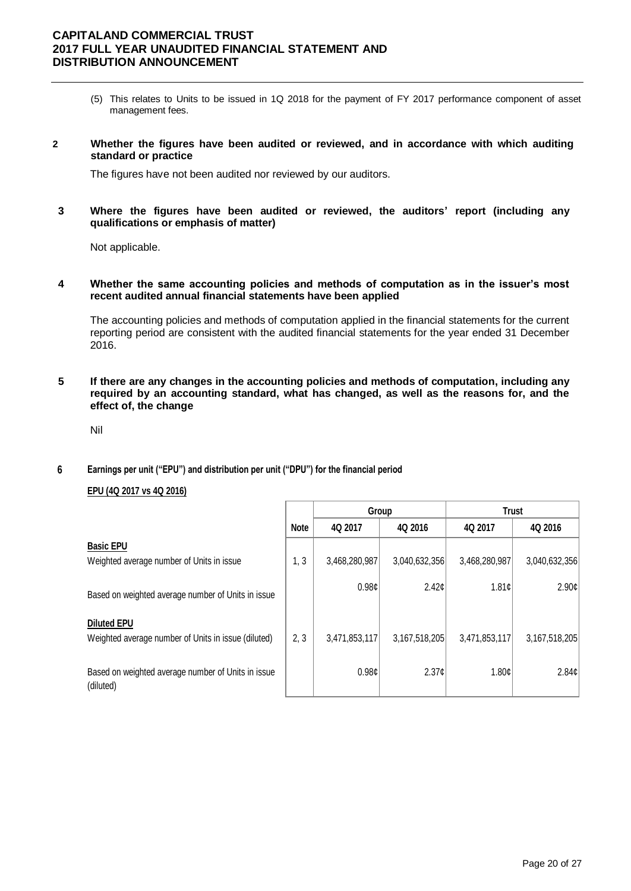- (5) This relates to Units to be issued in 1Q 2018 for the payment of FY 2017 performance component of asset management fees.
- **2 Whether the figures have been audited or reviewed, and in accordance with which auditing standard or practice**

The figures have not been audited nor reviewed by our auditors.

**3 Where the figures have been audited or reviewed, the auditors' report (including any qualifications or emphasis of matter)**

Not applicable.

**4 Whether the same accounting policies and methods of computation as in the issuer's most recent audited annual financial statements have been applied**

The accounting policies and methods of computation applied in the financial statements for the current reporting period are consistent with the audited financial statements for the year ended 31 December 2016.

**5 If there are any changes in the accounting policies and methods of computation, including any required by an accounting standard, what has changed, as well as the reasons for, and the effect of, the change**

Nil

 **6 Earnings per unit ("EPU") and distribution per unit ("DPU") for the financial period**

#### **EPU (4Q 2017 vs 4Q 2016)**

|                                                                           |             | Group             |                   | <b>Trust</b>  |               |
|---------------------------------------------------------------------------|-------------|-------------------|-------------------|---------------|---------------|
|                                                                           | <b>Note</b> | 4Q 2017           | 4Q 2016           | 4Q 2017       | 4Q 2016       |
| <b>Basic EPU</b><br>Weighted average number of Units in issue             | 1, 3        | 3,468,280,987     | 3,040,632,356     | 3,468,280,987 | 3,040,632,356 |
| Based on weighted average number of Units in issue                        |             | 0.98 <sub>c</sub> | 2.42 <sub>c</sub> | 1.81c         | 2.90c         |
| <b>Diluted EPU</b><br>Weighted average number of Units in issue (diluted) | 2, 3        | 3,471,853,117     | 3,167,518,205     | 3,471,853,117 | 3,167,518,205 |
| Based on weighted average number of Units in issue<br>(diluted)           |             | 0.98c             | 2.37c             | 1.80c         | 2.84c         |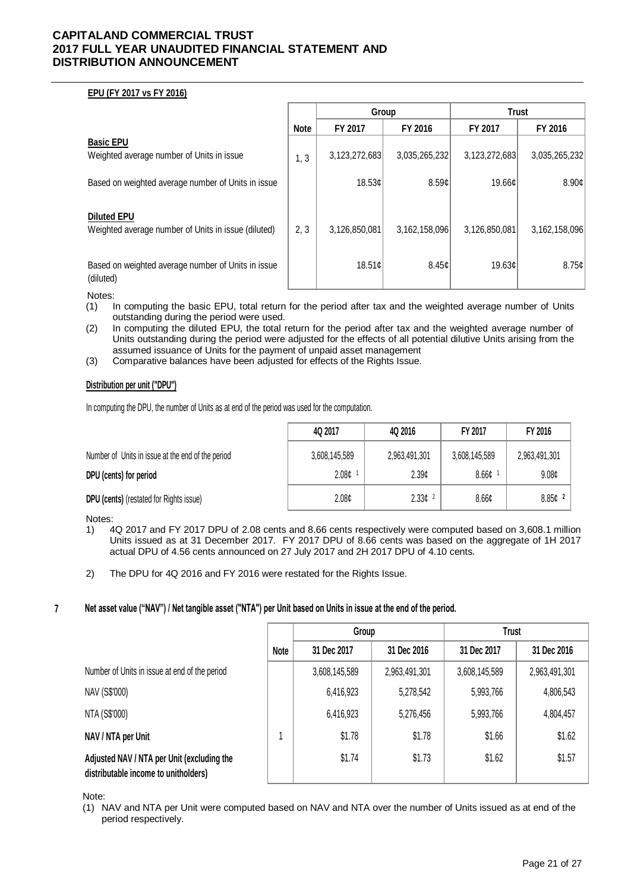#### **EPU (FY 2017 vs FY 2016)**

|                                                                           |             | Group         |               | <b>Trust</b>  |               |
|---------------------------------------------------------------------------|-------------|---------------|---------------|---------------|---------------|
|                                                                           | <b>Note</b> | FY 2017       | FY 2016       | FY 2017       | FY 2016       |
| <b>Basic EPU</b><br>Weighted average number of Units in issue             | 1, 3        | 3,123,272,683 | 3,035,265,232 | 3,123,272,683 | 3,035,265,232 |
| Based on weighted average number of Units in issue                        |             | 18.53¢        | 8.59c         | 19.66¢        | 8.90c         |
| <b>Diluted EPU</b><br>Weighted average number of Units in issue (diluted) | 2, 3        | 3,126,850,081 | 3,162,158,096 | 3,126,850,081 | 3,162,158,096 |
| Based on weighted average number of Units in issue<br>(diluted)           |             | 18.51c        | 8.45¢         | 19.63¢        | 8.75¢         |

Notes:<br>(1) |

- In computing the basic EPU, total return for the period after tax and the weighted average number of Units outstanding during the period were used.
- (2) In computing the diluted EPU, the total return for the period after tax and the weighted average number of Units outstanding during the period were adjusted for the effects of all potential dilutive Units arising from the assumed issuance of Units for the payment of unpaid asset management
- (3) Comparative balances have been adjusted for effects of the Rights Issue.

#### **Distribution per unit ("DPU")**

In computing the DPU, the number of Units as at end of the period was used for the computation.

|                                                   | 4Q 2017           | 4Q 2016            | FY 2017       | FY 2016           |
|---------------------------------------------------|-------------------|--------------------|---------------|-------------------|
| Number of Units in issue at the end of the period | 3,608,145,589     | 2,963,491,301      | 3,608,145,589 | 2,963,491,301     |
| DPU (cents) for period                            | 2.08 <sub>c</sub> | 2.39c              | 8.66¢         | 9.08 <sub>¢</sub> |
| DPU (cents) (restated for Rights issue)           | 2.08 <sub>¢</sub> | 2.33c <sup>2</sup> | 8.66¢         | $8.85c$ $^2$      |

Notes:

- 1) 4Q 2017 and FY 2017 DPU of 2.08 cents and 8.66 cents respectively were computed based on 3,608.1 million Units issued as at 31 December 2017. FY 2017 DPU of 8.66 cents was based on the aggregate of 1H 2017 actual DPU of 4.56 cents announced on 27 July 2017 and 2H 2017 DPU of 4.10 cents.
- 2) The DPU for 4Q 2016 and FY 2016 were restated for the Rights Issue.

#### **7 Net asset value ("NAV") / Net tangible asset ("NTA") per Unit based on Units in issue at the end of the period.**

|                                                                                    |             | Group         |               | Trust         |               |
|------------------------------------------------------------------------------------|-------------|---------------|---------------|---------------|---------------|
|                                                                                    | <b>Note</b> | 31 Dec 2017   | 31 Dec 2016   | 31 Dec 2017   | 31 Dec 2016   |
| Number of Units in issue at end of the period                                      |             | 3,608,145,589 | 2,963,491,301 | 3,608,145,589 | 2,963,491,301 |
| NAV (S\$'000)                                                                      |             | 6,416,923     | 5,278,542     | 5,993,766     | 4,806,543     |
| NTA (S\$'000)                                                                      |             | 6,416,923     | 5,276,456     | 5,993,766     | 4,804,457     |
| NAV / NTA per Unit                                                                 |             | \$1.78        | \$1.78        | \$1.66        | \$1.62        |
| Adjusted NAV / NTA per Unit (excluding the<br>distributable income to unitholders) |             | \$1.74        | \$1.73        | \$1.62        | \$1.57        |

Note:

(1) NAV and NTA per Unit were computed based on NAV and NTA over the number of Units issued as at end of the period respectively.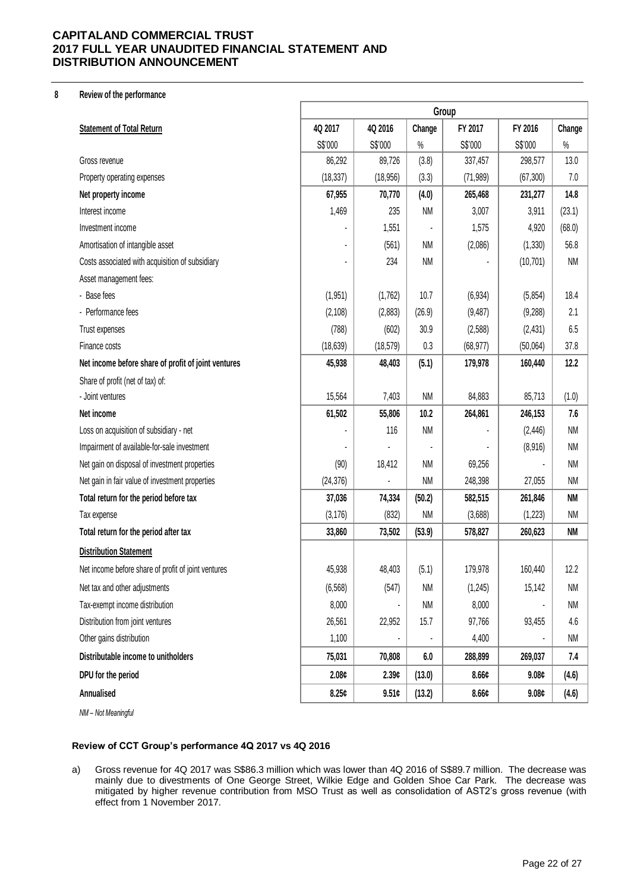#### **8 Review of the performance**

|                                                     | Group     |           |           |                   |           |           |  |
|-----------------------------------------------------|-----------|-----------|-----------|-------------------|-----------|-----------|--|
| <b>Statement of Total Return</b>                    | 4Q 2017   | 4Q 2016   | Change    | FY 2017           | FY 2016   | Change    |  |
|                                                     | S\$'000   | S\$'000   | $\%$      | S\$'000           | S\$'000   | $\%$      |  |
| Gross revenue                                       | 86,292    | 89,726    | (3.8)     | 337,457           | 298,577   | 13.0      |  |
| Property operating expenses                         | (18, 337) | (18, 956) | (3.3)     | (71, 989)         | (67, 300) | 7.0       |  |
| Net property income                                 | 67,955    | 70,770    | (4.0)     | 265,468           | 231,277   | 14.8      |  |
| Interest income                                     | 1,469     | 235       | <b>NM</b> | 3,007             | 3,911     | (23.1)    |  |
| Investment income                                   |           | 1,551     |           | 1,575             | 4,920     | (68.0)    |  |
| Amortisation of intangible asset                    |           | (561)     | <b>NM</b> | (2,086)           | (1, 330)  | 56.8      |  |
| Costs associated with acquisition of subsidiary     |           | 234       | <b>NM</b> |                   | (10, 701) | <b>NM</b> |  |
| Asset management fees:                              |           |           |           |                   |           |           |  |
| - Base fees                                         | (1,951)   | (1,762)   | 10.7      | (6, 934)          | (5,854)   | 18.4      |  |
| - Performance fees                                  | (2, 108)  | (2,883)   | (26.9)    | (9, 487)          | (9,288)   | 2.1       |  |
| Trust expenses                                      | (788)     | (602)     | 30.9      | (2,588)           | (2, 431)  | 6.5       |  |
| Finance costs                                       | (18, 639) | (18, 579) | 0.3       | (68, 977)         | (50,064)  | 37.8      |  |
| Net income before share of profit of joint ventures | 45,938    | 48,403    | (5.1)     | 179,978           | 160,440   | 12.2      |  |
| Share of profit (net of tax) of:                    |           |           |           |                   |           |           |  |
| - Joint ventures                                    | 15,564    | 7,403     | <b>NM</b> | 84,883            | 85,713    | (1.0)     |  |
| Net income                                          | 61,502    | 55,806    | 10.2      | 264,861           | 246,153   | 7.6       |  |
| Loss on acquisition of subsidiary - net             |           | 116       | <b>NM</b> |                   | (2, 446)  | <b>NM</b> |  |
| Impairment of available-for-sale investment         |           |           |           |                   | (8,916)   | <b>NM</b> |  |
| Net gain on disposal of investment properties       | (90)      | 18,412    | <b>NM</b> | 69,256            |           | <b>NM</b> |  |
| Net gain in fair value of investment properties     | (24, 376) |           | <b>NM</b> | 248,398           | 27,055    | <b>NM</b> |  |
| Total return for the period before tax              | 37,036    | 74,334    | (50.2)    | 582,515           | 261,846   | NM        |  |
| Tax expense                                         | (3, 176)  | (832)     | <b>NM</b> | (3,688)           | (1,223)   | <b>NM</b> |  |
| Total return for the period after tax               | 33,860    | 73,502    | (53.9)    | 578,827           | 260,623   | NM        |  |
| <b>Distribution Statement</b>                       |           |           |           |                   |           |           |  |
| Net income before share of profit of joint ventures | 45,938    | 48,403    | (5.1)     | 179,978           | 160,440   | 12.2      |  |
| Net tax and other adjustments                       | (6, 568)  | (547)     | <b>NM</b> | (1, 245)          | 15,142    | NM        |  |
| Tax-exempt income distribution                      | 8,000     |           | <b>NM</b> | 8,000             |           | <b>NM</b> |  |
| Distribution from joint ventures                    | 26,561    | 22,952    | 15.7      | 97,766            | 93,455    | 4.6       |  |
| Other gains distribution                            | 1,100     |           |           | 4,400             |           | NM        |  |
| Distributable income to unitholders                 | 75,031    | 70,808    | 6.0       | 288,899           | 269,037   | 7.4       |  |
| DPU for the period                                  | 2.08¢     | 2.39c     | (13.0)    | 8.66 <sub>¢</sub> | 9.08¢     | (4.6)     |  |
| Annualised                                          | 8.25c     | 9.51c     | (13.2)    | 8.66 <sub>¢</sub> | 9.08¢     | (4.6)     |  |
|                                                     |           |           |           |                   |           |           |  |

*NM – Not Meaningful*

#### **Review of CCT Group's performance 4Q 2017 vs 4Q 2016**

a) Gross revenue for 4Q 2017 was S\$86.3 million which was lower than 4Q 2016 of S\$89.7 million. The decrease was mainly due to divestments of One George Street, Wilkie Edge and Golden Shoe Car Park. The decrease was mitigated by higher revenue contribution from MSO Trust as well as consolidation of AST2's gross revenue (with effect from 1 November 2017.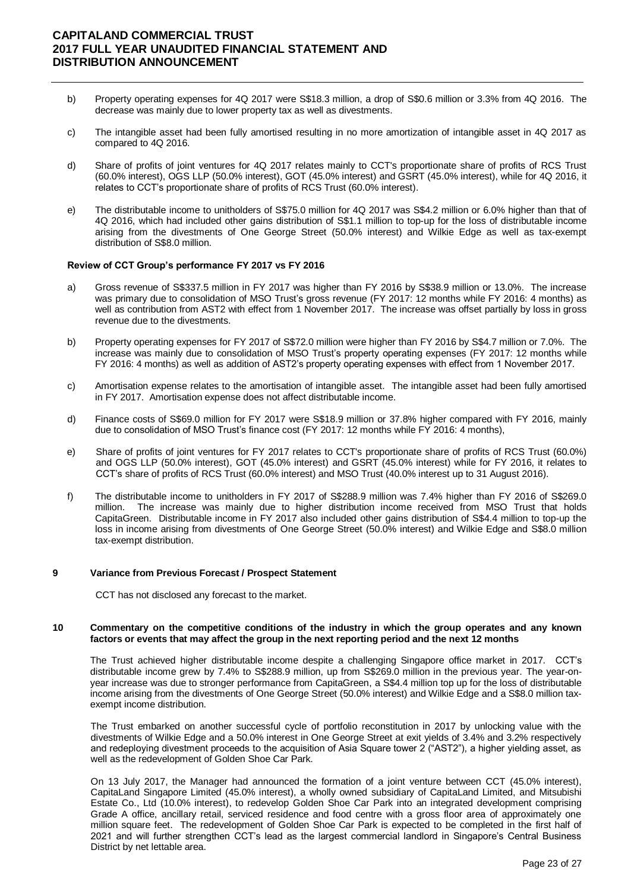- b) Property operating expenses for 4Q 2017 were S\$18.3 million, a drop of S\$0.6 million or 3.3% from 4Q 2016. The decrease was mainly due to lower property tax as well as divestments.
- c) The intangible asset had been fully amortised resulting in no more amortization of intangible asset in 4Q 2017 as compared to 4Q 2016.
- d) Share of profits of joint ventures for 4Q 2017 relates mainly to CCT's proportionate share of profits of RCS Trust (60.0% interest), OGS LLP (50.0% interest), GOT (45.0% interest) and GSRT (45.0% interest), while for 4Q 2016, it relates to CCT's proportionate share of profits of RCS Trust (60.0% interest).
- e) The distributable income to unitholders of S\$75.0 million for 4Q 2017 was S\$4.2 million or 6.0% higher than that of 4Q 2016, which had included other gains distribution of S\$1.1 million to top-up for the loss of distributable income arising from the divestments of One George Street (50.0% interest) and Wilkie Edge as well as tax-exempt distribution of S\$8.0 million.

#### **Review of CCT Group's performance FY 2017 vs FY 2016**

- a) Gross revenue of S\$337.5 million in FY 2017 was higher than FY 2016 by S\$38.9 million or 13.0%. The increase was primary due to consolidation of MSO Trust's gross revenue (FY 2017: 12 months while FY 2016: 4 months) as well as contribution from AST2 with effect from 1 November 2017. The increase was offset partially by loss in gross revenue due to the divestments.
- b) Property operating expenses for FY 2017 of S\$72.0 million were higher than FY 2016 by S\$4.7 million or 7.0%. The increase was mainly due to consolidation of MSO Trust's property operating expenses (FY 2017: 12 months while FY 2016: 4 months) as well as addition of AST2's property operating expenses with effect from 1 November 2017.
- c) Amortisation expense relates to the amortisation of intangible asset. The intangible asset had been fully amortised in FY 2017. Amortisation expense does not affect distributable income.
- d) Finance costs of S\$69.0 million for FY 2017 were S\$18.9 million or 37.8% higher compared with FY 2016, mainly due to consolidation of MSO Trust's finance cost (FY 2017: 12 months while FY 2016: 4 months),
- e) Share of profits of joint ventures for FY 2017 relates to CCT's proportionate share of profits of RCS Trust (60.0%) and OGS LLP (50.0% interest), GOT (45.0% interest) and GSRT (45.0% interest) while for FY 2016, it relates to CCT's share of profits of RCS Trust (60.0% interest) and MSO Trust (40.0% interest up to 31 August 2016).
- f) The distributable income to unitholders in FY 2017 of S\$288.9 million was 7.4% higher than FY 2016 of S\$269.0 million. The increase was mainly due to higher distribution income received from MSO Trust that holds CapitaGreen. Distributable income in FY 2017 also included other gains distribution of S\$4.4 million to top-up the loss in income arising from divestments of One George Street (50.0% interest) and Wilkie Edge and S\$8.0 million tax-exempt distribution.

#### **9 Variance from Previous Forecast / Prospect Statement**

CCT has not disclosed any forecast to the market.

#### **10 Commentary on the competitive conditions of the industry in which the group operates and any known factors or events that may affect the group in the next reporting period and the next 12 months**

The Trust achieved higher distributable income despite a challenging Singapore office market in 2017. CCT's distributable income grew by 7.4% to S\$288.9 million, up from S\$269.0 million in the previous year. The year-onyear increase was due to stronger performance from CapitaGreen, a S\$4.4 million top up for the loss of distributable income arising from the divestments of One George Street (50.0% interest) and Wilkie Edge and a S\$8.0 million taxexempt income distribution.

The Trust embarked on another successful cycle of portfolio reconstitution in 2017 by unlocking value with the divestments of Wilkie Edge and a 50.0% interest in One George Street at exit yields of 3.4% and 3.2% respectively and redeploying divestment proceeds to the acquisition of Asia Square tower 2 ("AST2"), a higher yielding asset, as well as the redevelopment of Golden Shoe Car Park.

On 13 July 2017, the Manager had announced the formation of a joint venture between CCT (45.0% interest), CapitaLand Singapore Limited (45.0% interest), a wholly owned subsidiary of CapitaLand Limited, and Mitsubishi Estate Co., Ltd (10.0% interest), to redevelop Golden Shoe Car Park into an integrated development comprising Grade A office, ancillary retail, serviced residence and food centre with a gross floor area of approximately one million square feet. The redevelopment of Golden Shoe Car Park is expected to be completed in the first half of 2021 and will further strengthen CCT's lead as the largest commercial landlord in Singapore's Central Business District by net lettable area.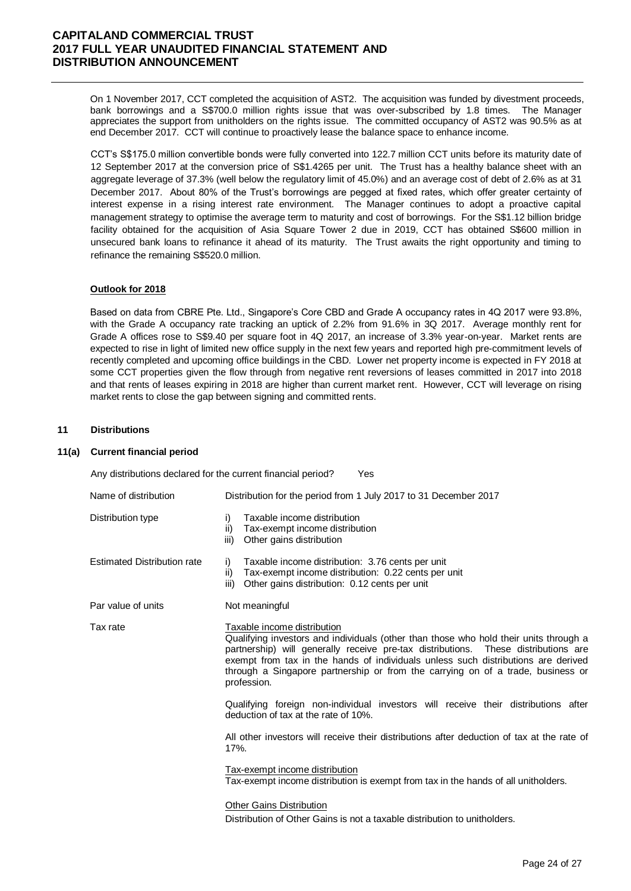On 1 November 2017, CCT completed the acquisition of AST2. The acquisition was funded by divestment proceeds, bank borrowings and a S\$700.0 million rights issue that was over-subscribed by 1.8 times. The Manager appreciates the support from unitholders on the rights issue. The committed occupancy of AST2 was 90.5% as at end December 2017. CCT will continue to proactively lease the balance space to enhance income.

CCT's S\$175.0 million convertible bonds were fully converted into 122.7 million CCT units before its maturity date of 12 September 2017 at the conversion price of S\$1.4265 per unit. The Trust has a healthy balance sheet with an aggregate leverage of 37.3% (well below the regulatory limit of 45.0%) and an average cost of debt of 2.6% as at 31 December 2017. About 80% of the Trust's borrowings are pegged at fixed rates, which offer greater certainty of interest expense in a rising interest rate environment. The Manager continues to adopt a proactive capital management strategy to optimise the average term to maturity and cost of borrowings. For the S\$1.12 billion bridge facility obtained for the acquisition of Asia Square Tower 2 due in 2019, CCT has obtained S\$600 million in unsecured bank loans to refinance it ahead of its maturity. The Trust awaits the right opportunity and timing to refinance the remaining S\$520.0 million.

#### **Outlook for 2018**

Based on data from CBRE Pte. Ltd., Singapore's Core CBD and Grade A occupancy rates in 4Q 2017 were 93.8%, with the Grade A occupancy rate tracking an uptick of 2.2% from 91.6% in 3Q 2017. Average monthly rent for Grade A offices rose to S\$9.40 per square foot in 4Q 2017, an increase of 3.3% year-on-year. Market rents are expected to rise in light of limited new office supply in the next few years and reported high pre-commitment levels of recently completed and upcoming office buildings in the CBD. Lower net property income is expected in FY 2018 at some CCT properties given the flow through from negative rent reversions of leases committed in 2017 into 2018 and that rents of leases expiring in 2018 are higher than current market rent. However, CCT will leverage on rising market rents to close the gap between signing and committed rents.

#### **11 Distributions**

#### **11(a) Current financial period**

| Any distributions declared for the current financial period? | Yes                                                                                                                                                                                                                                                                                                                                                                                               |  |  |  |  |  |
|--------------------------------------------------------------|---------------------------------------------------------------------------------------------------------------------------------------------------------------------------------------------------------------------------------------------------------------------------------------------------------------------------------------------------------------------------------------------------|--|--|--|--|--|
| Name of distribution                                         | Distribution for the period from 1 July 2017 to 31 December 2017                                                                                                                                                                                                                                                                                                                                  |  |  |  |  |  |
| Distribution type                                            | Taxable income distribution<br>i)<br>$\mathsf{ii}$<br>Tax-exempt income distribution<br>Other gains distribution<br>iii)                                                                                                                                                                                                                                                                          |  |  |  |  |  |
| <b>Estimated Distribution rate</b>                           | Taxable income distribution: 3.76 cents per unit<br>i)<br>Tax-exempt income distribution: 0.22 cents per unit<br>ii)<br>Other gains distribution: 0.12 cents per unit<br>iii)                                                                                                                                                                                                                     |  |  |  |  |  |
| Par value of units                                           | Not meaningful                                                                                                                                                                                                                                                                                                                                                                                    |  |  |  |  |  |
| Tax rate                                                     | Taxable income distribution<br>Qualifying investors and individuals (other than those who hold their units through a<br>partnership) will generally receive pre-tax distributions. These distributions are<br>exempt from tax in the hands of individuals unless such distributions are derived<br>through a Singapore partnership or from the carrying on of a trade, business or<br>profession. |  |  |  |  |  |
|                                                              | Qualifying foreign non-individual investors will receive their distributions after<br>deduction of tax at the rate of 10%.                                                                                                                                                                                                                                                                        |  |  |  |  |  |
|                                                              | All other investors will receive their distributions after deduction of tax at the rate of<br>17%.                                                                                                                                                                                                                                                                                                |  |  |  |  |  |
|                                                              | Tax-exempt income distribution<br>Tax-exempt income distribution is exempt from tax in the hands of all unitholders.                                                                                                                                                                                                                                                                              |  |  |  |  |  |
|                                                              | <b>Other Gains Distribution</b><br>Distribution of Other Gains is not a taxable distribution to unitholders.                                                                                                                                                                                                                                                                                      |  |  |  |  |  |
|                                                              |                                                                                                                                                                                                                                                                                                                                                                                                   |  |  |  |  |  |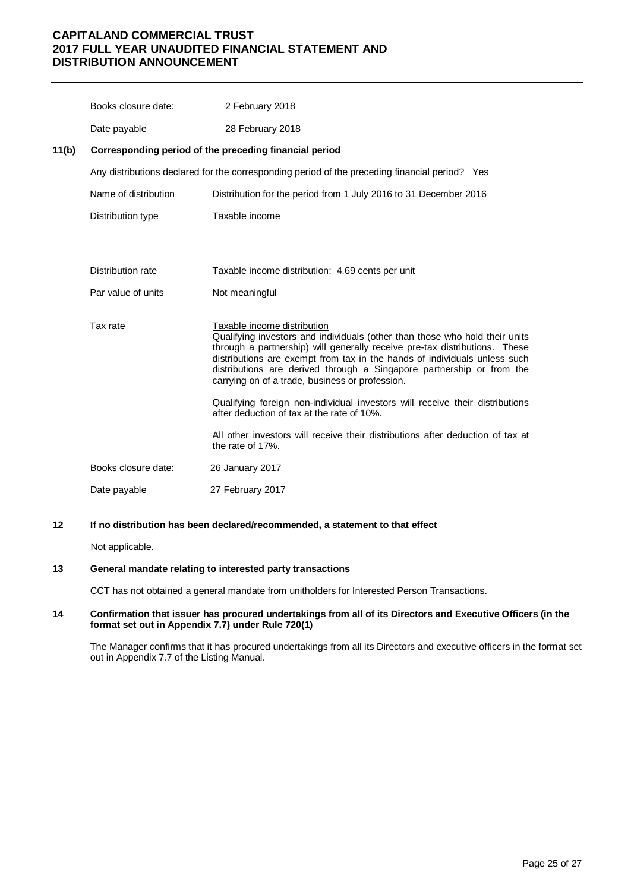|       | Books closure date:  | 2 February 2018                                                                                                                                                                                                                                                                                                                                                                                   |
|-------|----------------------|---------------------------------------------------------------------------------------------------------------------------------------------------------------------------------------------------------------------------------------------------------------------------------------------------------------------------------------------------------------------------------------------------|
|       | Date payable         | 28 February 2018                                                                                                                                                                                                                                                                                                                                                                                  |
| 11(b) |                      | Corresponding period of the preceding financial period                                                                                                                                                                                                                                                                                                                                            |
|       |                      | Any distributions declared for the corresponding period of the preceding financial period? Yes                                                                                                                                                                                                                                                                                                    |
|       | Name of distribution | Distribution for the period from 1 July 2016 to 31 December 2016                                                                                                                                                                                                                                                                                                                                  |
|       | Distribution type    | Taxable income                                                                                                                                                                                                                                                                                                                                                                                    |
|       |                      |                                                                                                                                                                                                                                                                                                                                                                                                   |
|       | Distribution rate    | Taxable income distribution: 4.69 cents per unit                                                                                                                                                                                                                                                                                                                                                  |
|       | Par value of units   | Not meaningful                                                                                                                                                                                                                                                                                                                                                                                    |
|       | Tax rate             | Taxable income distribution<br>Qualifying investors and individuals (other than those who hold their units<br>through a partnership) will generally receive pre-tax distributions. These<br>distributions are exempt from tax in the hands of individuals unless such<br>distributions are derived through a Singapore partnership or from the<br>carrying on of a trade, business or profession. |
|       |                      | Qualifying foreign non-individual investors will receive their distributions<br>after deduction of tax at the rate of 10%.                                                                                                                                                                                                                                                                        |
|       |                      | All other investors will receive their distributions after deduction of tax at<br>the rate of 17%.                                                                                                                                                                                                                                                                                                |
|       | Books closure date:  | 26 January 2017                                                                                                                                                                                                                                                                                                                                                                                   |
|       | Date payable         | 27 February 2017                                                                                                                                                                                                                                                                                                                                                                                  |
|       |                      |                                                                                                                                                                                                                                                                                                                                                                                                   |

**12 If no distribution has been declared/recommended, a statement to that effect**

Not applicable.

#### **13 General mandate relating to interested party transactions**

CCT has not obtained a general mandate from unitholders for Interested Person Transactions.

#### **14 Confirmation that issuer has procured undertakings from all of its Directors and Executive Officers (in the format set out in Appendix 7.7) under Rule 720(1)**

The Manager confirms that it has procured undertakings from all its Directors and executive officers in the format set out in Appendix 7.7 of the Listing Manual.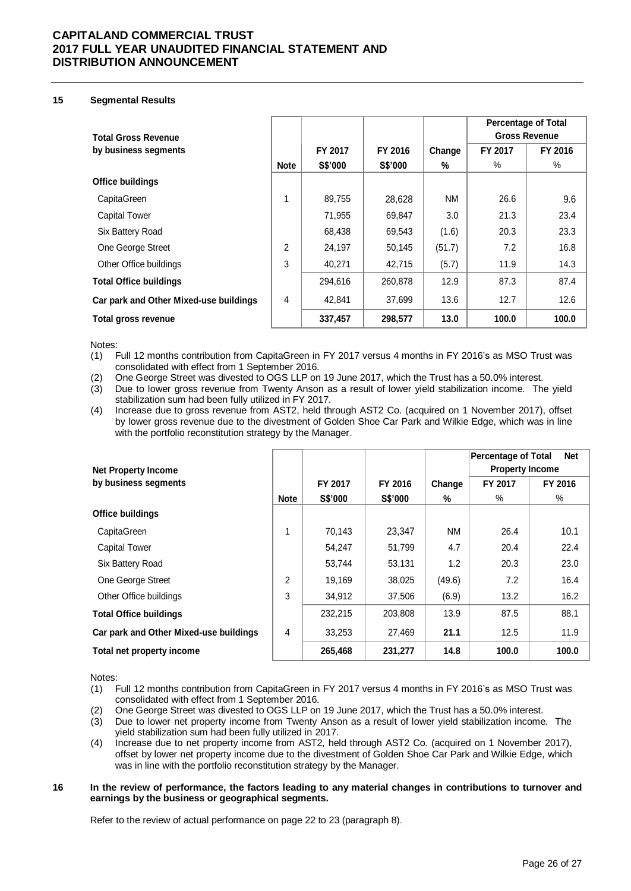#### **15 Segmental Results**

|                                        |                |         |         |           | <b>Percentage of Total</b> |         |
|----------------------------------------|----------------|---------|---------|-----------|----------------------------|---------|
| <b>Total Gross Revenue</b>             |                |         |         |           | <b>Gross Revenue</b>       |         |
| by business segments                   |                | FY 2017 | FY 2016 | Change    | FY 2017                    | FY 2016 |
|                                        | <b>Note</b>    | S\$'000 | S\$'000 | %         | ℅                          | ℅       |
| <b>Office buildings</b>                |                |         |         |           |                            |         |
| CapitaGreen                            |                | 89,755  | 28,628  | <b>NM</b> | 26.6                       | 9.6     |
| <b>Capital Tower</b>                   |                | 71,955  | 69,847  | 3.0       | 21.3                       | 23.4    |
| Six Battery Road                       |                | 68,438  | 69,543  | (1.6)     | 20.3                       | 23.3    |
| One George Street                      | $\overline{2}$ | 24,197  | 50,145  | (51.7)    | 7.2                        | 16.8    |
| Other Office buildings                 | 3              | 40.271  | 42,715  | (5.7)     | 11.9                       | 14.3    |
| <b>Total Office buildings</b>          |                | 294,616 | 260,878 | 12.9      | 87.3                       | 87.4    |
| Car park and Other Mixed-use buildings | 4              | 42,841  | 37,699  | 13.6      | 12.7                       | 12.6    |
| Total gross revenue                    |                | 337,457 | 298,577 | 13.0      | 100.0                      | 100.0   |

Notes:

(1) Full 12 months contribution from CapitaGreen in FY 2017 versus 4 months in FY 2016's as MSO Trust was consolidated with effect from 1 September 2016.

(2) One George Street was divested to OGS LLP on 19 June 2017, which the Trust has a 50.0% interest.

(3) Due to lower gross revenue from Twenty Anson as a result of lower yield stabilization income. The yield stabilization sum had been fully utilized in FY 2017.

(4) Increase due to gross revenue from AST2, held through AST2 Co. (acquired on 1 November 2017), offset by lower gross revenue due to the divestment of Golden Shoe Car Park and Wilkie Edge, which was in line with the portfolio reconstitution strategy by the Manager.

| <b>Net Property Income</b>             |             |         |                |           | <b>Net</b><br><b>Percentage of Total</b><br><b>Property Income</b> |         |
|----------------------------------------|-------------|---------|----------------|-----------|--------------------------------------------------------------------|---------|
| by business segments                   |             | FY 2017 | FY 2016        | Change    | FY 2017                                                            | FY 2016 |
|                                        | <b>Note</b> | S\$'000 | <b>S\$'000</b> | %         | $\%$                                                               | %       |
| <b>Office buildings</b>                |             |         |                |           |                                                                    |         |
| CapitaGreen                            | 1           | 70,143  | 23,347         | <b>NM</b> | 26.4                                                               | 10.1    |
| <b>Capital Tower</b>                   |             | 54,247  | 51,799         | 4.7       | 20.4                                                               | 22.4    |
| Six Battery Road                       |             | 53,744  | 53,131         | 1.2       | 20.3                                                               | 23.0    |
| One George Street                      | 2           | 19,169  | 38,025         | (49.6)    | 7.2                                                                | 16.4    |
| Other Office buildings                 | 3           | 34,912  | 37,506         | (6.9)     | 13.2                                                               | 16.2    |
| <b>Total Office buildings</b>          |             | 232,215 | 203,808        | 13.9      | 87.5                                                               | 88.1    |
| Car park and Other Mixed-use buildings | 4           | 33,253  | 27,469         | 21.1      | 12.5                                                               | 11.9    |
| Total net property income              |             | 265,468 | 231,277        | 14.8      | 100.0                                                              | 100.0   |

Notes:

(1) Full 12 months contribution from CapitaGreen in FY 2017 versus 4 months in FY 2016's as MSO Trust was consolidated with effect from 1 September 2016.

(2) One George Street was divested to OGS LLP on 19 June 2017, which the Trust has a 50.0% interest.

- (3) Due to lower net property income from Twenty Anson as a result of lower yield stabilization income. The yield stabilization sum had been fully utilized in 2017.
- (4) Increase due to net property income from AST2, held through AST2 Co. (acquired on 1 November 2017), offset by lower net property income due to the divestment of Golden Shoe Car Park and Wilkie Edge, which was in line with the portfolio reconstitution strategy by the Manager.

#### **16 In the review of performance, the factors leading to any material changes in contributions to turnover and earnings by the business or geographical segments.**

Refer to the review of actual performance on page 22 to 23 (paragraph 8).